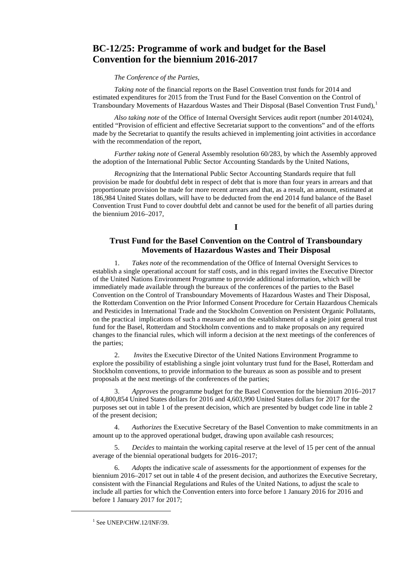# **BC-12/25: Programme of work and budget for the Basel Convention for the biennium 2016-2017**

#### *The Conference of the Parties,*

*Taking note* of the financial reports on the Basel Convention trust funds for 2014 and estimated expenditures for 2015 from the Trust Fund for the Basel Convention on the Control of Transboundary Movements of Hazardous Wastes and Their Disposal (Basel Convention Trust Fund),[1](#page-0-0)

*Also taking note* of the Office of Internal Oversight Services audit report (number 2014/024), entitled "Provision of efficient and effective Secretariat support to the conventions" and of the efforts made by the Secretariat to quantify the results achieved in implementing joint activities in accordance with the recommendation of the report,

*Further taking note* of General Assembly resolution 60/283, by which the Assembly approved the adoption of the International Public Sector Accounting Standards by the United Nations,

*Recognizing* that the International Public Sector Accounting Standards require that full provision be made for doubtful debt in respect of debt that is more than four years in arrears and that proportionate provision be made for more recent arrears and that, as a result, an amount, estimated at 186,984 United States dollars, will have to be deducted from the end 2014 fund balance of the Basel Convention Trust Fund to cover doubtful debt and cannot be used for the benefit of all parties during the biennium 2016–2017,

**I**

## **Trust Fund for the Basel Convention on the Control of Transboundary Movements of Hazardous Wastes and Their Disposal**

1. *Takes note* of the recommendation of the Office of Internal Oversight Services to establish a single operational account for staff costs, and in this regard invites the Executive Director of the United Nations Environment Programme to provide additional information, which will be immediately made available through the bureaux of the conferences of the parties to the Basel Convention on the Control of Transboundary Movements of Hazardous Wastes and Their Disposal, the Rotterdam Convention on the Prior Informed Consent Procedure for Certain Hazardous Chemicals and Pesticides in International Trade and the Stockholm Convention on Persistent Organic Pollutants, on the practical implications of such a measure and on the establishment of a single joint general trust fund for the Basel, Rotterdam and Stockholm conventions and to make proposals on any required changes to the financial rules, which will inform a decision at the next meetings of the conferences of the parties;

*Invites* the Executive Director of the United Nations Environment Programme to explore the possibility of establishing a single joint voluntary trust fund for the Basel, Rotterdam and Stockholm conventions, to provide information to the bureaux as soon as possible and to present proposals at the next meetings of the conferences of the parties;

3. *Approves* the programme budget for the Basel Convention for the biennium 2016–2017 of 4,800,854 United States dollars for 2016 and 4,603,990 United States dollars for 2017 for the purposes set out in table 1 of the present decision, which are presented by budget code line in table 2 of the present decision;

4. *Authorizes* the Executive Secretary of the Basel Convention to make commitments in an amount up to the approved operational budget, drawing upon available cash resources;

5. *Decides* to maintain the working capital reserve at the level of 15 per cent of the annual average of the biennial operational budgets for 2016–2017;

6. *Adopts* the indicative scale of assessments for the apportionment of expenses for the biennium 2016–2017 set out in table 4 of the present decision, and authorizes the Executive Secretary, consistent with the Financial Regulations and Rules of the United Nations, to adjust the scale to include all parties for which the Convention enters into force before 1 January 2016 for 2016 and before 1 January 2017 for 2017;

<span id="page-0-0"></span> $\overline{a}$ 

 $1$  See UNEP/CHW.12/INF/39.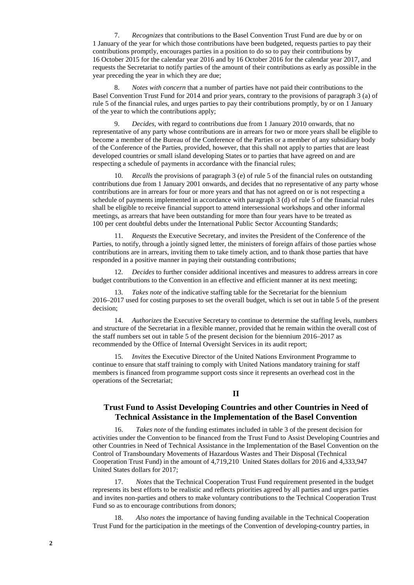7. *Recognizes* that contributions to the Basel Convention Trust Fund are due by or on 1 January of the year for which those contributions have been budgeted, requests parties to pay their contributions promptly, encourages parties in a position to do so to pay their contributions by 16 October 2015 for the calendar year 2016 and by 16 October 2016 for the calendar year 2017, and requests the Secretariat to notify parties of the amount of their contributions as early as possible in the year preceding the year in which they are due;

8. *Notes with concern* that a number of parties have not paid their contributions to the Basel Convention Trust Fund for 2014 and prior years, contrary to the provisions of paragraph 3 (a) of rule 5 of the financial rules, and urges parties to pay their contributions promptly, by or on 1 January of the year to which the contributions apply;

9. *Decides,* with regard to contributions due from 1 January 2010 onwards, that no representative of any party whose contributions are in arrears for two or more years shall be eligible to become a member of the Bureau of the Conference of the Parties or a member of any subsidiary body of the Conference of the Parties, provided, however, that this shall not apply to parties that are least developed countries or small island developing States or to parties that have agreed on and are respecting a schedule of payments in accordance with the financial rules;

10*. Recalls* the provisions of paragraph 3 (e) of rule 5 of the financial rules on outstanding contributions due from 1 January 2001 onwards, and decides that no representative of any party whose contributions are in arrears for four or more years and that has not agreed on or is not respecting a schedule of payments implemented in accordance with paragraph 3 (d) of rule 5 of the financial rules shall be eligible to receive financial support to attend intersessional workshops and other informal meetings, as arrears that have been outstanding for more than four years have to be treated as 100 per cent doubtful debts under the International Public Sector Accounting Standards;

11. *Requests* the Executive Secretary, and invites the President of the Conference of the Parties, to notify, through a jointly signed letter, the ministers of foreign affairs of those parties whose contributions are in arrears, inviting them to take timely action, and to thank those parties that have responded in a positive manner in paying their outstanding contributions;

12. *Decides* to further consider additional incentives and measures to address arrears in core budget contributions to the Convention in an effective and efficient manner at its next meeting;

13. *Takes note* of the indicative staffing table for the Secretariat for the biennium 2016–2017 used for costing purposes to set the overall budget, which is set out in table 5 of the present decision;

14. *Authorizes* the Executive Secretary to continue to determine the staffing levels, numbers and structure of the Secretariat in a flexible manner, provided that he remain within the overall cost of the staff numbers set out in table 5 of the present decision for the biennium 2016–2017 as recommended by the Office of Internal Oversight Services in its audit report;

15. *Invites* the Executive Director of the United Nations Environment Programme to continue to ensure that staff training to comply with United Nations mandatory training for staff members is financed from programme support costs since it represents an overhead cost in the operations of the Secretariat;

## **II**

## **Trust Fund to Assist Developing Countries and other Countries in Need of Technical Assistance in the Implementation of the Basel Convention**

16. *Takes note* of the funding estimates included in table 3 of the present decision for activities under the Convention to be financed from the Trust Fund to Assist Developing Countries and other Countries in Need of Technical Assistance in the Implementation of the Basel Convention on the Control of Transboundary Movements of Hazardous Wastes and Their Disposal (Technical Cooperation Trust Fund) in the amount of 4,719,210 United States dollars for 2016 and 4,333,947 United States dollars for 2017;

17. *Notes* that the Technical Cooperation Trust Fund requirement presented in the budget represents its best efforts to be realistic and reflects priorities agreed by all parties and urges parties and invites non-parties and others to make voluntary contributions to the Technical Cooperation Trust Fund so as to encourage contributions from donors;

18. *Also notes* the importance of having funding available in the Technical Cooperation Trust Fund for the participation in the meetings of the Convention of developing-country parties, in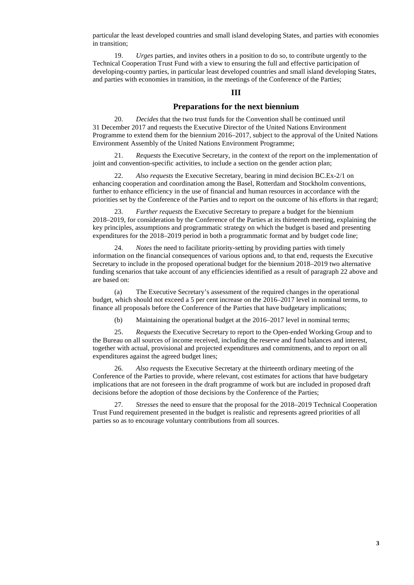particular the least developed countries and small island developing States, and parties with economies in transition;

19. *Urges* parties, and invites others in a position to do so, to contribute urgently to the Technical Cooperation Trust Fund with a view to ensuring the full and effective participation of developing-country parties, in particular least developed countries and small island developing States, and parties with economies in transition, in the meetings of the Conference of the Parties;

#### **III**

### **Preparations for the next biennium**

20. *Decides* that the two trust funds for the Convention shall be continued until 31 December 2017 and requests the Executive Director of the United Nations Environment Programme to extend them for the biennium 2016–2017, subject to the approval of the United Nations Environment Assembly of the United Nations Environment Programme;

21. *Requests* the Executive Secretary, in the context of the report on the implementation of joint and convention-specific activities, to include a section on the gender action plan;

22. *Also requests* the Executive Secretary, bearing in mind decision BC.Ex-2/1 on enhancing cooperation and coordination among the Basel, Rotterdam and Stockholm conventions, further to enhance efficiency in the use of financial and human resources in accordance with the priorities set by the Conference of the Parties and to report on the outcome of his efforts in that regard;

23. *Further requests* the Executive Secretary to prepare a budget for the biennium 2018–2019, for consideration by the Conference of the Parties at its thirteenth meeting, explaining the key principles, assumptions and programmatic strategy on which the budget is based and presenting expenditures for the 2018–2019 period in both a programmatic format and by budget code line;

*Notes* the need to facilitate priority-setting by providing parties with timely information on the financial consequences of various options and, to that end, requests the Executive Secretary to include in the proposed operational budget for the biennium 2018–2019 two alternative funding scenarios that take account of any efficiencies identified as a result of paragraph 22 above and are based on:

(a) The Executive Secretary's assessment of the required changes in the operational budget, which should not exceed a 5 per cent increase on the 2016–2017 level in nominal terms, to finance all proposals before the Conference of the Parties that have budgetary implications;

(b) Maintaining the operational budget at the 2016–2017 level in nominal terms;

25. *Requests* the Executive Secretary to report to the Open-ended Working Group and to the Bureau on all sources of income received, including the reserve and fund balances and interest, together with actual, provisional and projected expenditures and commitments, and to report on all expenditures against the agreed budget lines;

26*. Also requests* the Executive Secretary at the thirteenth ordinary meeting of the Conference of the Parties to provide, where relevant, cost estimates for actions that have budgetary implications that are not foreseen in the draft programme of work but are included in proposed draft decisions before the adoption of those decisions by the Conference of the Parties;

27*. Stresses* the need to ensure that the proposal for the 2018–2019 Technical Cooperation Trust Fund requirement presented in the budget is realistic and represents agreed priorities of all parties so as to encourage voluntary contributions from all sources.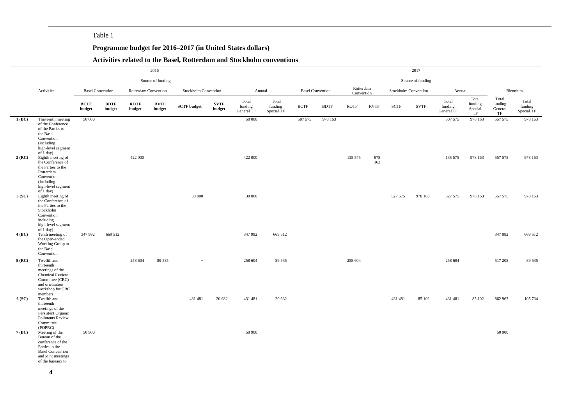### Table 1

### **Programme budget for 2016–2017 (in United States dollars)**

### **Activities related to the Basel, Rotterdam and Stockholm conventions**

|          |                                                                                                                                              |                         |                       |                       | 2016                  |                      |                       |                                |                                |             |                         |                         |             |                       | 2017                 |                                |                                   |                                   |                                |
|----------|----------------------------------------------------------------------------------------------------------------------------------------------|-------------------------|-----------------------|-----------------------|-----------------------|----------------------|-----------------------|--------------------------------|--------------------------------|-------------|-------------------------|-------------------------|-------------|-----------------------|----------------------|--------------------------------|-----------------------------------|-----------------------------------|--------------------------------|
|          |                                                                                                                                              |                         |                       |                       | Source of funding     |                      |                       |                                |                                |             |                         |                         |             |                       | Source of funding    |                                |                                   |                                   |                                |
|          | Activities                                                                                                                                   | <b>Basel Convention</b> |                       | Rotterdam Convention  |                       | Stockholm Convention |                       | Annual                         |                                |             | <b>Basel Convention</b> | Rotterdam<br>Convention |             |                       | Stockholm Convention | Annual                         |                                   |                                   | Biennium                       |
|          |                                                                                                                                              | <b>BCTF</b><br>budget   | <b>BDTF</b><br>budget | <b>ROTF</b><br>budget | <b>RVTF</b><br>budget | <b>SCTF</b> budget   | <b>SVTF</b><br>budget | Total<br>funding<br>General TF | Total<br>funding<br>Special TF | <b>BCTF</b> | <b>BDTF</b>             | <b>ROTF</b>             | <b>RVTF</b> | $\operatorname{SCTF}$ | <b>SVTF</b>          | Total<br>funding<br>General TF | Total<br>funding<br>Special<br>TF | Total<br>funding<br>General<br>TF | Total<br>funding<br>Special TF |
| $1$ (BC) | Thirteenth meeting<br>of the Conference<br>of the Parties to<br>the Basel<br>Convention<br>(including<br>high-level segment<br>of 1 day)     | 50 000                  |                       |                       |                       |                      |                       | 50 000                         |                                | 507 575     | 978 163                 |                         |             |                       |                      | 507 575                        | 978 163                           | 557 575                           | 978 163                        |
| 2(RC)    | Eighth meeting of<br>the Conference of<br>the Parties to the<br>Rotterdam<br>Convention<br>(including<br>high-level segment<br>of 1 day)     |                         |                       | 422 000               |                       |                      |                       | 422 000                        |                                |             |                         | 135 575                 | 978<br>163  |                       |                      | 135 575                        | 978 163                           | 557 575                           | 978 163                        |
| 3(SC)    | Eighth meeting of<br>the Conference of<br>the Parties to the<br>Stockholm<br>Convention<br>including<br>high-level segment<br>of 1 day)      |                         |                       |                       |                       | 30 000               |                       | 30 000                         |                                |             |                         |                         |             | 527 575               | 978 163              | 527 575                        | 978 163                           | 557 575                           | 978 163                        |
| 4 (BC)   | Tenth meeting of<br>the Open-ended<br>Working Group to<br>the Basel<br>Convention                                                            | 347 982                 | 669 512               |                       |                       |                      |                       | 347 982                        | 669 512                        |             |                         |                         |             |                       |                      |                                |                                   | 347 982                           | 669 512                        |
| 5(RC)    | Twelfth and<br>thirteenth<br>meetings of the<br><b>Chemical Review</b><br>Committee (CRC)<br>and orientation<br>workshop for CRC<br>members  |                         |                       | 258 604               | 89 535                | $\sim$               |                       | 258 604                        | 89 535                         |             |                         | 258 604                 |             |                       |                      | 258 604                        |                                   | 517 208                           | 89 535                         |
| 6 (SC)   | Twelfth and<br>thirteenth<br>meetings of the<br>Persistent Organic<br><b>Pollutants Review</b><br>Committee<br>(POPRC)                       |                         |                       |                       |                       | 431 481              | 20 632                | 431 481                        | 20 632                         |             |                         |                         |             | 431 481               | 85 102               | 431 481                        | 85 102                            | 862 962                           | 105 734                        |
| 7(BC)    | Meeting of the<br>Bureau of the<br>conference of the<br>Parties to the<br><b>Basel Convention</b><br>and joint meetings<br>of the bureaux to | 50 900                  |                       |                       |                       |                      |                       | 50 900                         |                                |             |                         |                         |             |                       |                      |                                |                                   | 50 900                            |                                |

**4**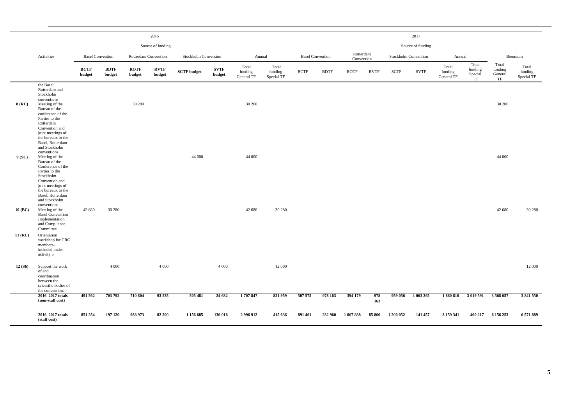|           |                                                                                                                                                                                                      |                         |                       |                       | 2016                  |                      |                       |                                |                                |                         |             |                         |             |                      | 2017              |                                |                                   |                                   |                                |
|-----------|------------------------------------------------------------------------------------------------------------------------------------------------------------------------------------------------------|-------------------------|-----------------------|-----------------------|-----------------------|----------------------|-----------------------|--------------------------------|--------------------------------|-------------------------|-------------|-------------------------|-------------|----------------------|-------------------|--------------------------------|-----------------------------------|-----------------------------------|--------------------------------|
|           |                                                                                                                                                                                                      |                         |                       |                       | Source of funding     |                      |                       |                                |                                |                         |             |                         |             |                      | Source of funding |                                |                                   |                                   |                                |
|           | Activities                                                                                                                                                                                           | <b>Basel Convention</b> |                       | Rotterdam Convention  |                       | Stockholm Convention |                       | Annual                         |                                | <b>Basel Convention</b> |             | Rotterdam<br>Convention |             | Stockholm Convention |                   | Annual                         |                                   |                                   | Biennium                       |
|           |                                                                                                                                                                                                      | <b>BCTF</b><br>budget   | <b>BDTF</b><br>budget | <b>ROTF</b><br>budget | <b>RVTF</b><br>budget | <b>SCTF</b> budget   | <b>SVTF</b><br>budget | Total<br>funding<br>General TF | Total<br>funding<br>Special TF | <b>BCTF</b>             | <b>BDTF</b> | <b>ROTF</b>             | <b>RVTF</b> | <b>SCTF</b>          | <b>SVTF</b>       | Total<br>funding<br>General TF | Total<br>funding<br>Special<br>TF | Total<br>funding<br>General<br>TF | Total<br>funding<br>Special TF |
| 8 (RC)    | the Basel,<br>Rotterdam and<br>Stockholm<br>conventions<br>Meeting of the<br>Bureau of the<br>conference of the<br>Parties to the<br>Rotterdam<br>Convention and                                     |                         |                       | 30 200                |                       |                      |                       | 30 200                         |                                |                         |             |                         |             |                      |                   |                                |                                   | 30 200                            |                                |
| 9(SC)     | joint meetings of<br>the bureaux to the<br>Basel, Rotterdam<br>and Stockholm<br>conventions<br>Meeting of the<br>Bureau of the<br>Conference of the<br>Parties to the<br>Stockholm<br>Convention and |                         |                       |                       |                       | 44 000               |                       | 44 000                         |                                |                         |             |                         |             |                      |                   |                                |                                   | 44 000                            |                                |
| 10 (BC)   | joint meetings of<br>the bureaux to the<br>Basel, Rotterdam<br>and Stockholm<br>conventions<br>Meeting of the<br><b>Basel Convention</b><br>Implementation<br>and Compliance<br>Committee            | 42 680                  | 30 280                |                       |                       |                      |                       | 42 680                         | 30 280                         |                         |             |                         |             |                      |                   |                                |                                   | 42 680                            | 30 280                         |
| $11$ (RC) | Orientation<br>workshop for CRC<br>members-<br>included under<br>activity 5                                                                                                                          |                         |                       |                       |                       |                      |                       |                                |                                |                         |             |                         |             |                      |                   |                                |                                   |                                   |                                |
| 12(56)    | Support the work<br>of and<br>coordination<br>between the<br>scientific bodies of<br>the conventions                                                                                                 |                         | 4 0 0 0               |                       | 4 0 0 0               |                      | 4 0 0 0               |                                | 12 000                         |                         |             |                         |             |                      |                   |                                |                                   |                                   | 12 000                         |
|           | 2016-2017 totals<br>(non-staff cost)                                                                                                                                                                 | 491 562                 | 703 792               | 710 804               | 93 535                | 505 481              | 24 632                | 1707847                        | 821 959                        | 507 575                 | 978 163     | 394 179                 | 978<br>163  | 959 056              | 1 063 265         | 1860810                        | 3 019 591                         | 3568657                           | 3 841 550                      |
|           | 2016-2017 totals<br>(staff cost)                                                                                                                                                                     | 851 254                 | 197 120               | 988 973               | 82 500                | 1 156 685            | 136 016               | 2 996 912                      | 415 636                        | 891 401                 | 232 960     | 1 067 888               | 85 800      | 1 200 052            | 141 457           | 3 159 341                      | 460 217                           | 6 156 253                         | 6571889                        |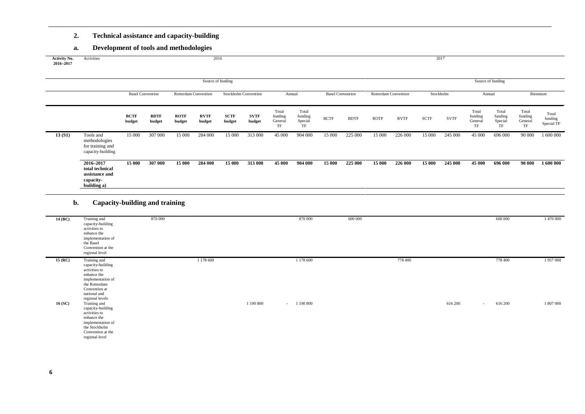### **2. Technical assistance and capacity-building**

### **a. Development of tools and methodologies**

| Source of funding                                                                                                                                  |                                                                                       |                                                 |                     | Source of funding                                                      |                                                                     |
|----------------------------------------------------------------------------------------------------------------------------------------------------|---------------------------------------------------------------------------------------|-------------------------------------------------|---------------------|------------------------------------------------------------------------|---------------------------------------------------------------------|
| <b>Basel Convention</b><br>Stockholm Convention<br>Rotterdam Convention                                                                            | Annual                                                                                | <b>Basel Convention</b><br>Rotterdam Convention | Stockholm           | Annual                                                                 | Biennium                                                            |
| <b>BCTF</b><br><b>BDTF</b><br><b>ROTF</b><br><b>RVTF</b><br><b>SCTF</b><br><b>SVTF</b><br>budget<br>budget<br>budget<br>budget<br>budget<br>budget | Total<br>Total<br>funding<br>funding<br><b>BCTF</b><br>Special<br>General<br>TF<br>TF | <b>BDTF</b><br><b>ROTF</b><br><b>RVTF</b>       | <b>SVTF</b><br>SCTF | Total<br>Total<br>funding<br>funding<br>General<br>Special<br>TF<br>TF | Total<br>Total<br>funding<br>funding<br>General<br>Special TF<br>TF |
| 307 000<br>Tools and<br>15 000<br>15 000<br>284 000<br>15 000<br>313 000<br>13(51)<br>methodologies<br>for training and<br>capacity-building       | 45 000<br>904 000<br>15 000                                                           | 225 000<br>15 000<br>226 000                    | 15 000<br>245 000   | 45 000<br>696 000                                                      | 1 600 000<br>90 000                                                 |
| 307 000<br>2016-2017<br>15 000<br>15 000<br>284 000<br>15 000<br>313 000<br>total technical<br>assistance and<br>capacity-<br>building a)          | 45 000<br>904 000<br>15 000                                                           | 225 000<br>15 000<br>226 000                    | 15 000<br>245 000   | 45 000<br>696 000                                                      | 1 600 000<br>90 000                                                 |

#### **b. Capacity-building and training**

| 14 (BC)   | Training and<br>capacity-building<br>activities to<br>enhance the<br>implementation of<br>the Basel<br>Convention at the<br>regional level                  | 870 000   |           | 870 000             | 600 000 |         |         | 600 000                    | 1 470 000 |
|-----------|-------------------------------------------------------------------------------------------------------------------------------------------------------------|-----------|-----------|---------------------|---------|---------|---------|----------------------------|-----------|
| $15$ (RC) | Training and<br>capacity-building<br>activities to<br>enhance the<br>implementation of<br>the Rotterdam<br>Convention at<br>national and<br>regional levels | 1 178 600 |           | 1 178 600           |         | 778 400 |         | 778 400                    | 1957000   |
| 16(SC)    | Training and<br>capacity-building<br>activities to<br>enhance the<br>implementation of<br>the Stockholm<br>Convention at the<br>regional level              |           | 1 190 800 | 1 190 800<br>$\sim$ |         |         | 616 200 | 616 200<br>$\sim$ 10 $\pm$ | 1 807 000 |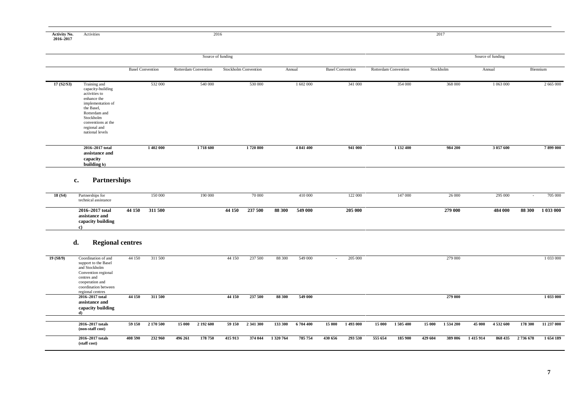## **Activity No. 2016–2017**

Activities 2016 2016

|            |                                                                                                                                                                                             |                         |                      | Source of funding    |           |                         |                      |           | Source of funding |           |
|------------|---------------------------------------------------------------------------------------------------------------------------------------------------------------------------------------------|-------------------------|----------------------|----------------------|-----------|-------------------------|----------------------|-----------|-------------------|-----------|
|            |                                                                                                                                                                                             | <b>Basel Convention</b> | Rotterdam Convention | Stockholm Convention | Annual    | <b>Basel Convention</b> | Rotterdam Convention | Stockholm | Annual            | Biennium  |
| 17 (S2/S3) | Training and<br>capacity-building<br>activities to<br>enhance the<br>implementation of<br>the Basel,<br>Rotterdam and<br>Stockholm<br>conventions at the<br>regional and<br>national levels | 532 000                 | 540 000              | 530 000              | 1 602 000 | 341 000                 | 354 000              | 368 000   | 1 063 000         | 2 665 000 |
|            | 2016-2017 total<br>assistance and<br>capacity<br>building b)                                                                                                                                | 1 402 000               | 1718 600             | 1720 800             | 4 841 400 | 941 000                 | 1 132 400            | 984 200   | 3 057 600         | 7899000   |

### **c. Partnerships**

| 18(54) | Partnerships for<br>technical assistance               |        | 150 000 | 190 000 |        | 70 000         |        | 410 000 | 122 000 | 147 000 | 26 000  | 295 000 |        | 705 000   |
|--------|--------------------------------------------------------|--------|---------|---------|--------|----------------|--------|---------|---------|---------|---------|---------|--------|-----------|
|        | 2016–2017 total<br>assistance and<br>capacity building | 44 150 | 311 500 |         | 44 150 | <b>237 500</b> | 88 300 | 549 000 | 205 000 |         | 279 000 | 484 000 | 88 300 | 1 033 000 |

### **d. Regional centres**

| 19 (S8/9) | Coordination of and<br>support to the Basel<br>and Stockholm<br>Convention regional<br>centres and<br>cooperation and<br>coordination between<br>regional centres | 44 150  | 311 500   |         |           | 44 150  | 237 500   | 88 300    | 549 000   |         | 205 000 |         |         |         | 279 000 |         |           |          | 1 033 000  |
|-----------|-------------------------------------------------------------------------------------------------------------------------------------------------------------------|---------|-----------|---------|-----------|---------|-----------|-----------|-----------|---------|---------|---------|---------|---------|---------|---------|-----------|----------|------------|
|           | 2016-2017 total<br>assistance and<br>capacity building                                                                                                            | 44 150  | 311 500   |         |           | 44 150  | 237 500   | 88 300    | 549 000   |         |         |         |         |         | 279 000 |         |           |          | 1 033 000  |
|           | 2016–2017 totals<br>(non-staff cost)                                                                                                                              | 59 150  | 2 170 500 | 15 000  | 2 192 600 | 59 150  | 2 341 300 | 133 300   | 6 704 400 | 15 000  | 1493000 | 15 000  | 1505400 | 15 000  | 1534200 | 45 000  | 4 532 600 | 178 300  | 11 237 000 |
|           | 2016–2017 totals<br>(staff cost)                                                                                                                                  | 408 590 | 232 960   | 496 261 | 178 750   | 415 913 | 374 044   | 1 320 764 | 785 754   | 430 656 | 293 530 | 555 654 | 185 900 | 429 604 | 389 006 | 1415914 | 868 435   | 2736 678 | 1654 189   |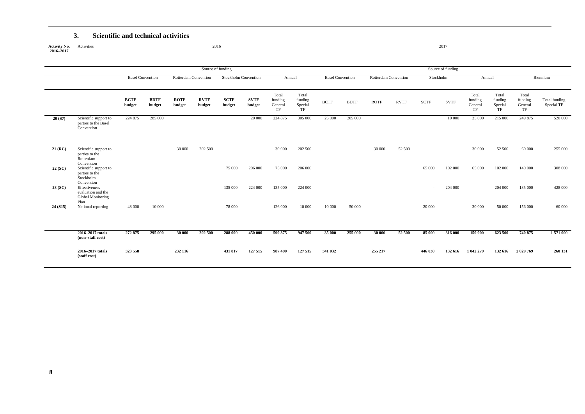#### **3. Scientific and technical activities**

|                                  | ◡.                                                                     | beientine and technical activities |                       |                       |                       |                             |                       |                                   |                                   |                         |             |                      |             |             |                   |                                   |                                   |                                   |                             |
|----------------------------------|------------------------------------------------------------------------|------------------------------------|-----------------------|-----------------------|-----------------------|-----------------------------|-----------------------|-----------------------------------|-----------------------------------|-------------------------|-------------|----------------------|-------------|-------------|-------------------|-----------------------------------|-----------------------------------|-----------------------------------|-----------------------------|
| <b>Activity No.</b><br>2016-2017 | Activities                                                             |                                    |                       |                       | 2016                  |                             |                       |                                   |                                   |                         |             |                      |             |             | 2017              |                                   |                                   |                                   |                             |
|                                  |                                                                        |                                    |                       |                       | Source of funding     |                             |                       |                                   |                                   |                         |             |                      |             |             | Source of funding |                                   |                                   |                                   |                             |
|                                  |                                                                        | <b>Basel Convention</b>            |                       | Rotterdam Convention  |                       | <b>Stockholm Convention</b> |                       | Annual                            |                                   | <b>Basel Convention</b> |             | Rotterdam Convention |             | Stockholm   |                   | Annual                            |                                   |                                   | Biennium                    |
|                                  |                                                                        | <b>BCTF</b><br>budget              | <b>BDTF</b><br>budget | <b>ROTF</b><br>budget | <b>RVTF</b><br>budget | <b>SCTF</b><br>budget       | <b>SVTF</b><br>budget | Total<br>funding<br>General<br>TF | Total<br>funding<br>Special<br>TF | <b>BCTF</b>             | <b>BDTF</b> | <b>ROTF</b>          | <b>RVTF</b> | <b>SCTF</b> | <b>SVTF</b>       | Total<br>funding<br>General<br>TF | Total<br>funding<br>Special<br>TF | Total<br>funding<br>General<br>TF | Total funding<br>Special TF |
| 20 (S7)                          | Scientific support to<br>parties to the Basel<br>Convention            | 224 875                            | 285 000               |                       |                       |                             | 20 000                | 224 875                           | 305 000                           | 25 000                  | 205 000     |                      |             |             | 10 000            | 25 000                            | 215 000                           | 249 875                           | 520 000                     |
| $21$ (RC)                        | Scientific support to<br>parties to the<br>Rotterdam<br>Convention     |                                    |                       | 30 000                | 202 500               |                             |                       | 30 000                            | 202 500                           |                         |             | 30 000               | 52 500      |             |                   | 30 000                            | 52 500                            | 60 000                            | 255 000                     |
| 22(SC)                           | Scientific support to<br>parties to the<br>Stockholm                   |                                    |                       |                       |                       | 75 000                      | 206 000               | 75 000                            | 206 000                           |                         |             |                      |             | 65 000      | 102 000           | 65 000                            | 102 000                           | 140 000                           | 308 000                     |
| 23(SC)                           | Convention<br>Effectiveness<br>evaluation and the<br>Global Monitoring |                                    |                       |                       |                       | 135 000                     | 224 000               | 135 000                           | 224 000                           |                         |             |                      |             | $\sim$      | 204 000           |                                   | 204 000                           | 135 000                           | 428 000                     |
| 24(S15)                          | Plan<br>National reporting                                             | 48 000                             | 10 000                |                       |                       | 78 000                      |                       | 126 000                           | 10 000                            | 10 000                  | 50 000      |                      |             | 20 000      |                   | 30 000                            | 50 000                            | 156 000                           | 60 000                      |
|                                  |                                                                        |                                    |                       |                       |                       |                             |                       |                                   |                                   |                         |             |                      |             |             |                   |                                   |                                   |                                   |                             |
|                                  | 2016-2017 totals<br>(non-staff cost)                                   | 272 875                            | 295 000               | 30 000                | 202 500               | 288 000                     | 450 000               | 590 875                           | 947 500                           | 35 000                  | 255 000     | 30 000               | 52 500      | 85 000      | 316 000           | 150 000                           | 623 500                           | 740 875                           | 1571000                     |
|                                  | 2016-2017 totals<br>(staff cost)                                       | 323 558                            |                       | 232 116               |                       | 431 817                     | 127 515               | 987 490                           | 127 515                           | 341 032                 |             | 255 217              |             | 446 030     | 132 616           | 1 042 279                         | 132 616                           | 2 029 769                         | 260 131                     |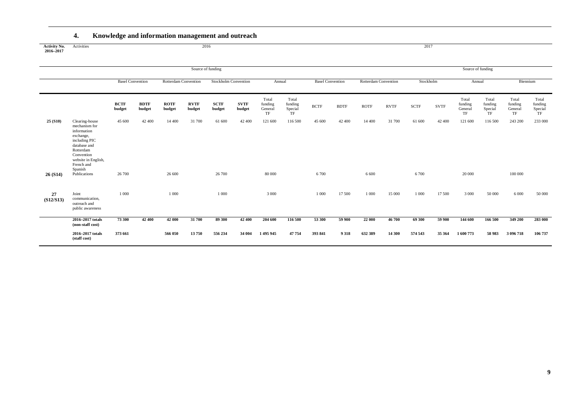### **4. Knowledge and information management and outreach**

| <b>Activity No.</b><br>2016-2017 | Activities                                                                                                                                                              |                         |                       |                       |                       | 2016                        |                       |                                   |                                   |                         |             |                      |             | 2017        |             |                                   |                                   |                                   |                                   |
|----------------------------------|-------------------------------------------------------------------------------------------------------------------------------------------------------------------------|-------------------------|-----------------------|-----------------------|-----------------------|-----------------------------|-----------------------|-----------------------------------|-----------------------------------|-------------------------|-------------|----------------------|-------------|-------------|-------------|-----------------------------------|-----------------------------------|-----------------------------------|-----------------------------------|
|                                  |                                                                                                                                                                         |                         |                       |                       | Source of funding     |                             |                       |                                   |                                   |                         |             |                      |             |             |             | Source of funding                 |                                   |                                   |                                   |
|                                  |                                                                                                                                                                         | <b>Basel Convention</b> |                       | Rotterdam Convention  |                       | <b>Stockholm Convention</b> |                       | Annual                            |                                   | <b>Basel Convention</b> |             | Rotterdam Convention |             | Stockholm   |             | Annual                            |                                   | Biennium                          |                                   |
|                                  |                                                                                                                                                                         | <b>BCTF</b><br>budget   | <b>BDTF</b><br>budget | <b>ROTF</b><br>budget | <b>RVTF</b><br>budget | <b>SCTF</b><br>budget       | <b>SVTF</b><br>budget | Total<br>funding<br>General<br>TF | Total<br>funding<br>Special<br>TF | <b>BCTF</b>             | <b>BDTF</b> | <b>ROTF</b>          | <b>RVTF</b> | <b>SCTF</b> | <b>SVTF</b> | Total<br>funding<br>General<br>TF | Total<br>funding<br>Special<br>TF | Total<br>funding<br>General<br>TF | Total<br>funding<br>Special<br>TF |
| 25(510)                          | Clearing-house<br>mechanism for<br>information<br>exchange,<br>including PIC<br>database and<br>Rotterdam<br>Convention<br>website in English,<br>French and<br>Spanish | 45 600                  | 42 400                | 14 400                | 31 700                | 61 600                      | 42 400                | 121 600                           | 116 500                           | 45 600                  | 42 400      | 14 400               | 31 700      | 61 600      | 42 400      | 121 600                           | 116 500                           | 243 200                           | 233 000                           |
| 26(S14)                          | Publications                                                                                                                                                            | 26 700                  |                       | 26 600                |                       | 26 700                      |                       | 80 000                            |                                   | 6 700                   |             | 6 600                |             | 6 700       |             | 20 000                            |                                   | 100 000                           |                                   |
| 27<br>(S12/S13)                  | Joint<br>communication,<br>outreach and<br>public awareness                                                                                                             | 1 0 0 0                 |                       | 1 000                 |                       | 1 0 0 0                     |                       | 3 0 0 0                           |                                   | 1 000                   | 17 500      | 1 0 0 0              | 15 000      | 1 0 0 0     | 17 500      | 3 0 0 0                           | 50 000                            | 6 0 0 0                           | 50 000                            |
|                                  | 2016-2017 totals<br>(non-staff cost)                                                                                                                                    | 73 300                  | 42 400                | 42 000                | 31 700                | 89 300                      | 42 400                | 204 600                           | 116 500                           | 53 300                  | 59 900      | 22 000               | 46 700      | 69 300      | 59 900      | 144 600                           | 166 500                           | 349 200                           | 283 000                           |
|                                  | 2016-2017 totals<br>(staff cost)                                                                                                                                        | 373 661                 |                       | 566 050               | 13750                 | 556 234                     | 34 004                | 1495945                           | 47754                             | 393 841                 | 9318        | 632 389              | 14 300      | 574 543     | 35 364      | 1 600 773                         | 58 983                            | 3 096 718                         | 106 737                           |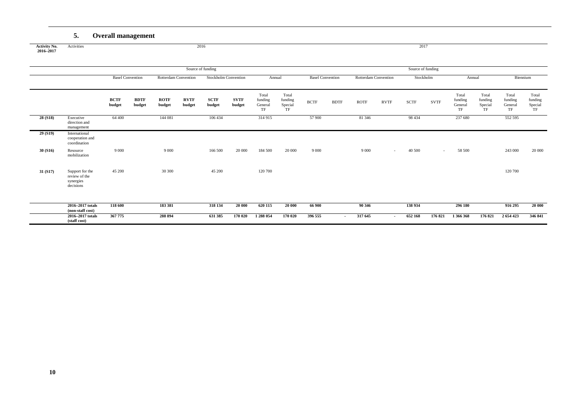### **5. Overall management**

**Activity No. 2016–2017** Activities 2016 2016

|          |                                                            |                         |                       |                             |                       | Source of funding           |                       |                                   |                                   |                         |                          |                             |                          | Source of funding |             |                                   |                                   |                                   |                                   |
|----------|------------------------------------------------------------|-------------------------|-----------------------|-----------------------------|-----------------------|-----------------------------|-----------------------|-----------------------------------|-----------------------------------|-------------------------|--------------------------|-----------------------------|--------------------------|-------------------|-------------|-----------------------------------|-----------------------------------|-----------------------------------|-----------------------------------|
|          |                                                            | <b>Basel Convention</b> |                       | <b>Rotterdam Convention</b> |                       | <b>Stockholm Convention</b> |                       | Annual                            |                                   | <b>Basel Convention</b> |                          | <b>Rotterdam Convention</b> |                          | Stockholm         |             | Annual                            |                                   | Biennium                          |                                   |
|          |                                                            | <b>BCTF</b><br>budget   | <b>BDTF</b><br>budget | <b>ROTF</b><br>budget       | <b>RVTF</b><br>budget | SCTF<br>budget              | <b>SVTF</b><br>budget | Total<br>funding<br>General<br>TF | Total<br>funding<br>Special<br>TF | <b>BCTF</b>             | <b>BDTF</b>              | <b>ROTF</b>                 | <b>RVTF</b>              | <b>SCTF</b>       | <b>SVTF</b> | Total<br>funding<br>General<br>TF | Total<br>funding<br>Special<br>TF | Total<br>funding<br>General<br>TF | Total<br>funding<br>Special<br>TF |
| 28 (S18) | Executive<br>direction and<br>management                   | 64 400                  |                       | 144 081                     |                       | 106 434                     |                       | 314 915                           |                                   | 57 900                  |                          | 81 34 6                     |                          | 98 4 34           |             | 237 680                           |                                   | 552 595                           |                                   |
| 29 (S19) | International<br>cooperation and<br>coordination           |                         |                       |                             |                       |                             |                       |                                   |                                   |                         |                          |                             |                          |                   |             |                                   |                                   |                                   |                                   |
| 30 (S16) | Resource<br>mobilization                                   | 9 0 0 0                 |                       | 9 0 0 0                     |                       | 166 500                     | 20 000                | 184 500                           | 20 000                            | 9 0 0 0                 |                          | 9 0 0 0                     | $\sim 100$               | 40 500            | $\sim$      | 58 500                            |                                   | 243 000                           | 20 000                            |
| 31 (S17) | Support for the<br>review of the<br>synergies<br>decisions | 45 200                  |                       | 30 300                      |                       | 45 200                      |                       | 120 700                           |                                   |                         |                          |                             |                          |                   |             |                                   |                                   | 120 700                           |                                   |
|          | 2016-2017 totals                                           | 118 600                 |                       | 183 381                     |                       | 318 134                     | 20 000                | 620 115                           | 20 000                            | 66 900                  |                          | 90 346                      |                          | 138 934           |             | 296 180                           |                                   | 916 295                           | 20 000                            |
|          | (non-staff cost)                                           |                         |                       |                             |                       |                             |                       |                                   |                                   |                         |                          |                             |                          |                   |             |                                   |                                   |                                   |                                   |
|          | 2016-2017 totals<br>(staff cost)                           | 367 775                 |                       | 288 894                     |                       | 631 385                     | 170 020               | 1 288 054                         | 170 020                           | 396 555                 | $\overline{\phantom{a}}$ | 317 645                     | $\overline{\phantom{a}}$ | 652 168           | 176 821     | 1 366 368                         | 176 821                           | 2 654 423                         | 346 841                           |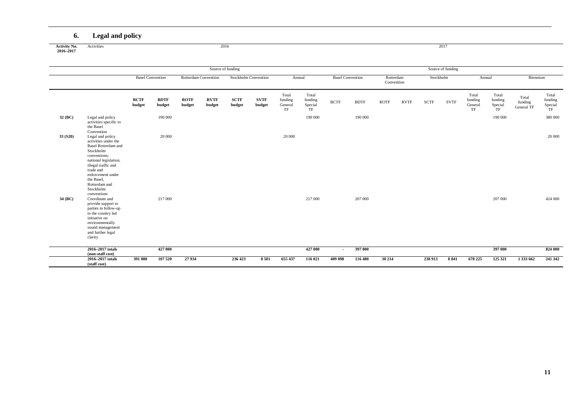### **6. Legal and policy**

**Activity No. 2016–2017**

Activities 2017 2017 2016

|          |                                                                                                                                                                                                                                                                |                       | <b>Basel Convention</b> |                       |                       | Source of funding     |                             |                                   |                                   |                         |             |                         |             |           | Source of funding |                                   |                                   |                                |                                   |
|----------|----------------------------------------------------------------------------------------------------------------------------------------------------------------------------------------------------------------------------------------------------------------|-----------------------|-------------------------|-----------------------|-----------------------|-----------------------|-----------------------------|-----------------------------------|-----------------------------------|-------------------------|-------------|-------------------------|-------------|-----------|-------------------|-----------------------------------|-----------------------------------|--------------------------------|-----------------------------------|
|          |                                                                                                                                                                                                                                                                |                       |                         |                       | Rotterdam Convention  |                       | <b>Stockholm Convention</b> | Annual                            |                                   | <b>Basel Convention</b> |             | Rotterdam<br>Convention |             | Stockholm |                   | Annual                            |                                   | Biennium                       |                                   |
|          |                                                                                                                                                                                                                                                                | <b>BCTF</b><br>budget | <b>BDTF</b><br>budget   | <b>ROTF</b><br>budget | <b>RVTF</b><br>budget | <b>SCTF</b><br>budget | <b>SVTF</b><br>budget       | Total<br>funding<br>General<br>TF | Total<br>funding<br>Special<br>TF | <b>BCTF</b>             | <b>BDTF</b> | <b>ROTF</b>             | <b>RVTF</b> | SCTF      | <b>SVTF</b>       | Total<br>funding<br>General<br>TF | Total<br>funding<br>Special<br>TF | Total<br>funding<br>General TF | Total<br>funding<br>Special<br>TF |
| 32 (BC)  | Legal and policy<br>activities specific to<br>the Basel                                                                                                                                                                                                        |                       | 190 000                 |                       |                       |                       |                             |                                   | 190 000                           |                         | 190 000     |                         |             |           |                   |                                   | 190 000                           |                                | 380 000                           |
| 33 (S20) | Convention<br>Legal and policy<br>activities under the<br><b>Basel Rotterdam and</b><br>Stockholm<br>conventions;<br>national legislation,<br>illegal traffic and<br>trade and<br>enforcement under<br>the Basel.<br>Rotterdam and<br>Stockholm<br>conventions |                       | 20 000                  |                       |                       |                       |                             | 20 000                            |                                   |                         |             |                         |             |           |                   |                                   |                                   |                                | 20 000                            |
| 34 (BC)  | Coordinate and<br>provide support to<br>parties in follow-up<br>to the country led<br>initiative on<br>environmentally<br>sound management<br>and further legal<br>clarity                                                                                     |                       | 217 000                 |                       |                       |                       |                             |                                   | 217 000                           |                         | 207 000     |                         |             |           |                   |                                   | 207 000                           |                                | 424 000                           |
|          | 2016-2017 totals<br>(non-staff cost)                                                                                                                                                                                                                           |                       | 427 000                 |                       |                       |                       |                             |                                   | 427 000                           | $\sim$                  | 397 000     |                         |             |           |                   |                                   | 397 000                           |                                | 824 000                           |
|          | 2016-2017 totals<br>(staff cost)                                                                                                                                                                                                                               | 391 080               | 107 520                 | 27934                 |                       | 236 423               | 8 5 0 1                     | 655 437                           | 116 021                           | 409 098                 | 116 480     | 30 214                  |             | 238 913   | 8 8 4 1           | 678 225                           | 125 321                           | 1 333 662                      | 241 342                           |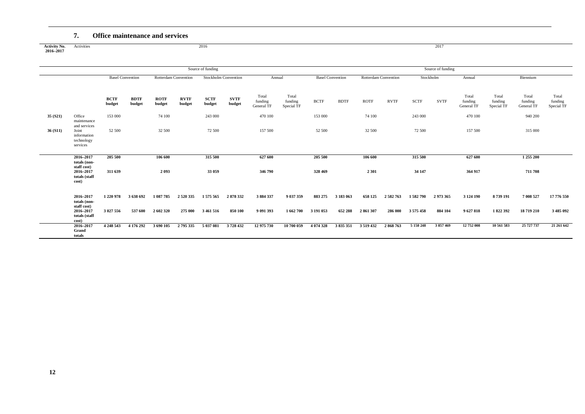#### **7. Office maintenance and services**

**Activity No. 2016–2017** Activities 2017 2017 2016 2016

|         |                                                                |                         |                       |                       |                             | Source of funding           |                       |                                |                                |             |                         |             |                             |             | Source of funding |                                |                                |                                |                                |
|---------|----------------------------------------------------------------|-------------------------|-----------------------|-----------------------|-----------------------------|-----------------------------|-----------------------|--------------------------------|--------------------------------|-------------|-------------------------|-------------|-----------------------------|-------------|-------------------|--------------------------------|--------------------------------|--------------------------------|--------------------------------|
|         |                                                                | <b>Basel Convention</b> |                       |                       | <b>Rotterdam Convention</b> | <b>Stockholm Convention</b> |                       | Annual                         |                                |             | <b>Basel Convention</b> |             | <b>Rotterdam Convention</b> | Stockholm   |                   | Annual                         |                                | Biennium                       |                                |
|         |                                                                | <b>BCTF</b><br>budget   | <b>BDTF</b><br>budget | <b>ROTF</b><br>budget | <b>RVTF</b><br>budget       | <b>SCTF</b><br>budget       | <b>SVTF</b><br>budget | Total<br>funding<br>General TF | Total<br>funding<br>Special TF | <b>BCTF</b> | <b>BDTF</b>             | <b>ROTF</b> | <b>RVTF</b>                 | <b>SCTF</b> | <b>SVTF</b>       | Total<br>funding<br>General TF | Total<br>funding<br>Special TF | Total<br>funding<br>General TF | Total<br>funding<br>Special TF |
| 35(S21) | Office<br>maintenance                                          | 153 000                 |                       | 74 100                |                             | 243 000                     |                       | 470 100                        |                                | 153 000     |                         | 74 100      |                             | 243 000     |                   | 470 100                        |                                | 940 200                        |                                |
| 36(S11) | and services<br>Joint<br>information<br>technology<br>services | 52 500                  |                       | 32 500                |                             | 72 500                      |                       | 157 500                        |                                | 52 500      |                         | 32 500      |                             | 72 500      |                   | 157 500                        |                                | 315 000                        |                                |
|         | 2016-2017<br>totals (non-                                      | 205 500                 |                       | 106 600               |                             | 315 500                     |                       | 627 600                        |                                | 205 500     |                         | 106 600     |                             | 315 500     |                   | 627 600                        |                                | 1 255 200                      |                                |
|         | staff cost)<br>2016-2017<br>totals (staff<br>cost)             | 311 639                 |                       | 2 0 9 3               |                             | 33 059                      |                       | 346 790                        |                                | 328 469     |                         | 2 3 0 1     |                             | 34 147      |                   | 364 917                        |                                | 711 708                        |                                |
|         | 2016-2017<br>totals (non-<br>staff cost)                       | 1 220 978               | 3 638 692             | 1 087 785             | 2 5 20 3 35                 | 1575565                     | 2878332               | 3884337                        | 9 037 359                      | 883 275     | 3 183 063               | 658 125     | 2 582 763                   | 1582790     | 2973365           | 3 124 190                      | 8739191                        | 7 008 527                      | 17 776 550                     |
|         | 2016-2017<br>totals (staff<br>cost)                            | 3 027 556               | 537 600               | 2 602 320             | 275 000                     | 3 4 6 1 5 1 6               | 850 100               | 9 091 393                      | 1 662 700                      | 3 191 053   | 652 288                 | 2861307     | 286 000                     | 3575458     | 884 104           | 9 627 818                      | 1822392                        | 18719210                       | 3 485 092                      |
|         | $2016 - 2017$<br>Grand<br>totals                               | 4 248 543               | 4 176 292             | 3 690 105             | 2 795 335                   | 5 037 081                   | 3728432               | 12 975 730                     | 10 700 059                     | 4 0 74 3 28 | 3 835 351               | 3 5 19 4 32 | 2868763                     | 5 158 248   | 3857469           | 12 752 008                     | 10 561 583                     | 25 727 737                     | 21 261 642                     |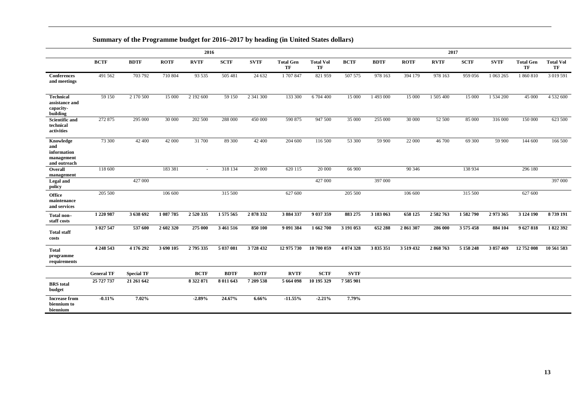## **Summary of the Programme budget for 2016–2017 by heading (in United States dollars)**

|                                                               |                   |                   |             | 2016        |             |             |                        |                        | 2017        |             |             |             |               |             |                        |                        |
|---------------------------------------------------------------|-------------------|-------------------|-------------|-------------|-------------|-------------|------------------------|------------------------|-------------|-------------|-------------|-------------|---------------|-------------|------------------------|------------------------|
|                                                               | <b>BCTF</b>       | <b>BDTF</b>       | <b>ROTF</b> | <b>RVTF</b> | <b>SCTF</b> | <b>SVTF</b> | <b>Total Gen</b><br>TF | <b>Total Vol</b><br>TF | <b>BCTF</b> | <b>BDTF</b> | <b>ROTF</b> | <b>RVTF</b> | <b>SCTF</b>   | <b>SVTF</b> | <b>Total Gen</b><br>TF | <b>Total Vol</b><br>TF |
| <b>Conferences</b><br>and meetings                            | 491 562           | 703 792           | 710 804     | 93 535      | 505 481     | 24 632      | 1 707 847              | 821 959                | 507 575     | 978 163     | 394 179     | 978 163     | 959 056       | 1 063 265   | 1 860 810              | 3 019 591              |
| <b>Technical</b><br>assistance and<br>capacity-<br>building   | 59 150            | 2 170 500         | 15 000      | 2 192 600   | 59 150      | 2 341 300   | 133 300                | 6 704 400              | 15 000      | 1 493 000   | 15 000      | 1 505 400   | 15 000        | 1 534 200   | 45 000                 | 4 5 3 2 6 0 0          |
| <b>Scientific and</b><br>technical<br>activities              | 272 875           | 295 000           | 30 000      | 202 500     | 288 000     | 450 000     | 590 875                | 947 500                | 35 000      | 255 000     | 30 000      | 52 500      | 85 000        | 316 000     | 150 000                | 623 500                |
| Knowledge<br>and<br>information<br>management<br>and outreach | 73 300            | 42 400            | 42 000      | 31 700      | 89 300      | 42 400      | 204 600                | 116 500                | 53 300      | 59 900      | 22 000      | 46 700      | 69 300        | 59 900      | 144 600                | 166 500                |
| Overall<br>management                                         | 118 600           |                   | 183 381     | ÷.          | 318 134     | 20 000      | 620 115                | 20 000                 | 66 900      |             | 90 34 6     |             | 138 934       |             | 296 180                |                        |
| Legal and<br>policy                                           |                   | 427 000           |             |             |             |             |                        | 427 000                |             | 397 000     |             |             |               |             |                        | 397 000                |
| <b>Office</b><br>maintenance<br>and services                  | 205 500           |                   | 106 600     |             | 315 500     |             | 627 600                |                        | 205 500     |             | 106 600     |             | 315 500       |             | 627 600                |                        |
| Total non-<br>staff costs                                     | 1 220 987         | 3 638 692         | 1 087 785   | 2 5 20 3 35 | 1575565     | 2878332     | 3 884 337              | 9 037 359              | 883 275     | 3 183 063   | 658 125     | 2 582 763   | 1582790       | 2973365     | 3 124 190              | 8739191                |
| <b>Total staff</b><br>costs                                   | 3 027 547         | 537 600           | 2 602 320   | 275 000     | 3 461 516   | 850 100     | 9 091 384              | 1 662 700              | 3 191 053   | 652 288     | 2861307     | 286 000     | 3 5 7 5 4 5 8 | 884 104     | 9627818                | 1822 392               |
| <b>Total</b><br>programme<br>requirements                     | 4 248 543         | 4 176 292         | 3 690 105   | 2795335     | 5 037 081   | 3728432     | 12 975 730             | 10 700 059             | 4 074 328   | 3 835 351   | 3 519 432   | 2868763     | 5 158 248     | 3857469     | 12 752 008             | 10 561 583             |
|                                                               | <b>General TF</b> | <b>Special TF</b> |             | <b>BCTF</b> | <b>BDTF</b> | <b>ROTF</b> | <b>RVTF</b>            | <b>SCTF</b>            | <b>SVTF</b> |             |             |             |               |             |                        |                        |
| <b>BRS</b> total<br>budget                                    | 25 727 737        | 21 261 642        |             | 8 322 871   | 8 011 643   | 7 209 538   | 5 664 098              | 10 195 329             | 7 585 901   |             |             |             |               |             |                        |                        |
| <b>Increase from</b><br>biennium to<br>biennium               | $-0.11%$          | 7.02%             |             | $-2.89%$    | 24.67%      | 6.66%       | $-11.55%$              | $-2.21%$               | 7.79%       |             |             |             |               |             |                        |                        |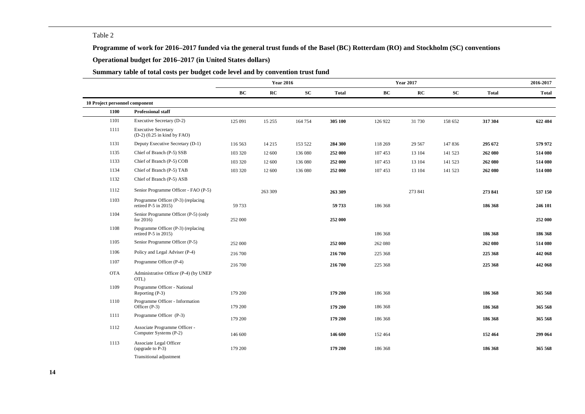#### Table 2

**Programme of work for 2016–2017 funded via the general trust funds of the Basel (BC) Rotterdam (RO) and Stockholm (SC) conventions**

#### **Operational budget for 2016–2017 (in United States dollars)**

### **Summary table of total costs per budget code level and by convention trust fund**

|                                |                                                               |         | <b>Year 2016</b> |            |              |         | <b>Year 2017</b> |            |              | 2016-2017    |
|--------------------------------|---------------------------------------------------------------|---------|------------------|------------|--------------|---------|------------------|------------|--------------|--------------|
|                                |                                                               | BC      | RC               | ${\bf SC}$ | <b>Total</b> | BC      | RC               | ${\bf SC}$ | <b>Total</b> | <b>Total</b> |
| 10 Project personnel component |                                                               |         |                  |            |              |         |                  |            |              |              |
| 1100                           | <b>Professional staff</b>                                     |         |                  |            |              |         |                  |            |              |              |
| 1101                           | Executive Secretary (D-2)                                     | 125 091 | 15 255           | 164 754    | 305 100      | 126 922 | 31 730           | 158 652    | 317 304      | 622 404      |
| 1111                           | <b>Executive Secretary</b><br>$(D-2)$ $(0.25$ in kind by FAO) |         |                  |            |              |         |                  |            |              |              |
| 1131                           | Deputy Executive Secretary (D-1)                              | 116 563 | 14 215           | 153 522    | 284 300      | 118 269 | 29 5 67          | 147 836    | 295 672      | 579 972      |
| 1135                           | Chief of Branch (P-5) SSB                                     | 103 320 | 12 600           | 136 080    | 252 000      | 107 453 | 13 104           | 141 523    | 262 080      | 514 080      |
| 1133                           | Chief of Branch (P-5) COB                                     | 103 320 | 12 600           | 136 080    | 252 000      | 107 453 | 13 104           | 141 523    | 262 080      | 514 080      |
| 1134                           | Chief of Branch (P-5) TAB                                     | 103 320 | 12 600           | 136 080    | 252 000      | 107 453 | 13 104           | 141 523    | 262 080      | 514 080      |
| 1132                           | Chief of Branch (P-5) ASB                                     |         |                  |            |              |         |                  |            |              |              |
| 1112                           | Senior Programme Officer - FAO (P-5)                          |         | 263 309          |            | 263 309      |         | 273 841          |            | 273 841      | 537 150      |
| 1103                           | Programme Officer (P-3) (replacing<br>retired P-5 in 2015)    | 59 733  |                  |            | 59 733       | 186 368 |                  |            | 186 368      | 246 101      |
| 1104                           | Senior Programme Officer (P-5) (only<br>for $2016$ )          | 252 000 |                  |            | 252 000      |         |                  |            |              | 252 000      |
| 1108                           | Programme Officer (P-3) (replacing<br>retired $P-5$ in 2015)  |         |                  |            |              | 186 368 |                  |            | 186 368      | 186 368      |
| 1105                           | Senior Programme Officer (P-5)                                | 252 000 |                  |            | 252 000      | 262 080 |                  |            | 262 080      | 514 080      |
| 1106                           | Policy and Legal Adviser (P-4)                                | 216 700 |                  |            | 216 700      | 225 368 |                  |            | 225 368      | 442 068      |
| 1107                           | Programme Officer (P-4)                                       | 216 700 |                  |            | 216 700      | 225 368 |                  |            | 225 368      | 442 068      |
| <b>OTA</b>                     | Administrative Officer (P-4) (by UNEP<br>OTL)                 |         |                  |            |              |         |                  |            |              |              |
| 1109                           | Programme Officer - National<br>Reporting (P-3)               | 179 200 |                  |            | 179 200      | 186 368 |                  |            | 186 368      | 365 568      |
| 1110                           | Programme Officer - Information<br>Officer (P-3)              | 179 200 |                  |            | 179 200      | 186 368 |                  |            | 186 368      | 365 568      |
| 1111                           | Programme Officer (P-3)                                       | 179 200 |                  |            | 179 200      | 186 368 |                  |            | 186 368      | 365 568      |
| 1112                           | Associate Programme Officer -<br>Computer Systems (P-2)       | 146 600 |                  |            | 146 600      | 152 464 |                  |            | 152 464      | 299 064      |
| 1113                           | Associate Legal Officer<br>(upgrade to P-3)                   | 179 200 |                  |            | 179 200      | 186 368 |                  |            | 186 368      | 365 568      |
|                                | Transitional adjustment                                       |         |                  |            |              |         |                  |            |              |              |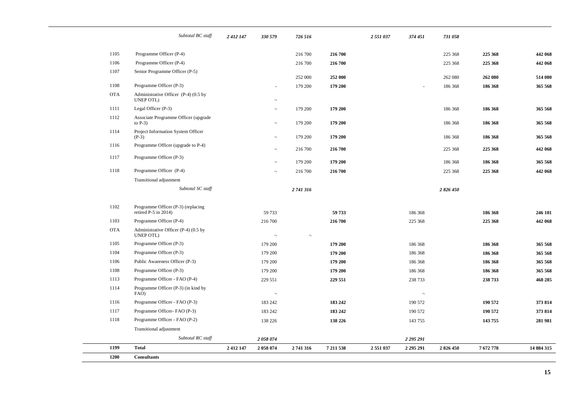|            | Subtotal BC staff                                          | 2 412 147 | 330 579                  | 726 516   |           | 2 551 037 | 374 451   | 731 058 |         |            |
|------------|------------------------------------------------------------|-----------|--------------------------|-----------|-----------|-----------|-----------|---------|---------|------------|
| 1105       | Programme Officer (P-4)                                    |           |                          | 216 700   | 216 700   |           |           | 225 368 | 225 368 | 442 068    |
| 1106       | Programme Officer (P-4)                                    |           |                          | 216 700   | 216 700   |           |           | 225 368 | 225 368 | 442 068    |
| 1107       | Senior Programme Officer (P-5)                             |           |                          |           |           |           |           |         |         |            |
|            |                                                            |           |                          | 252 000   | 252 000   |           |           | 262 080 | 262 080 | 514 080    |
| 1108       | Programme Officer (P-3)                                    |           | ÷.                       | 179 200   | 179 200   |           | $\sim$    | 186 368 | 186 368 | 365 568    |
| <b>OTA</b> | Administrative Officer (P-4) (0.5 by<br>UNEP OTL)          |           | $\lnot$                  |           |           |           |           |         |         |            |
| 1111       | Legal Officer (P-3)                                        |           | $\lnot$                  | 179 200   | 179 200   |           |           | 186 368 | 186 368 | 365 568    |
| 1112       | Associate Programme Officer (upgrade<br>to $P-3$ )         |           | $\lnot$                  | 179 200   | 179 200   |           |           | 186 368 | 186 368 | 365 568    |
| 1114       | Project Information System Officer<br>$(P-3)$              |           | $\overline{\phantom{a}}$ | 179 200   | 179 200   |           |           | 186 368 | 186 368 | 365 568    |
| 1116       | Programme Officer (upgrade to P-4)                         |           | $\lnot$                  | 216 700   | 216 700   |           |           | 225 368 | 225 368 | 442 068    |
| 1117       | Programme Officer (P-3)                                    |           | $\overline{\phantom{a}}$ | 179 200   | 179 200   |           |           | 186 368 | 186 368 | 365 568    |
| 1118       | Programme Officer (P-4)                                    |           | $\lnot$                  | 216 700   | 216 700   |           |           | 225 368 | 225 368 | 442 068    |
|            | Transitional adjustment                                    |           |                          |           |           |           |           |         |         |            |
|            | Subtotal SC staff                                          |           |                          | 2 741 316 |           |           |           | 2826450 |         |            |
| 1102       | Programme Officer (P-3) (replacing<br>retired P-5 in 2014) |           | 59 733                   |           | 59 733    |           | 186 368   |         | 186 368 | 246 101    |
| 1103       | Programme Officer (P-4)                                    |           | 216 700                  |           | 216 700   |           | 225 368   |         | 225 368 | 442 068    |
| <b>OTA</b> | Administrative Officer (P-4) (0.5 by<br>UNEP OTL)          |           | $\overline{\phantom{a}}$ | $\lnot$   |           |           |           |         |         |            |
| 1105       | Programme Officer (P-3)                                    |           | 179 200                  |           | 179 200   |           | 186 368   |         | 186 368 | 365 568    |
| 1104       | Programme Officer (P-3)                                    |           | 179 200                  |           | 179 200   |           | 186 368   |         | 186 368 | 365 568    |
| 1106       | Public Awareness Officer (P-3)                             |           | 179 200                  |           | 179 200   |           | 186 368   |         | 186 368 | 365 568    |
| 1108       | Programme Officer (P-3)                                    |           | 179 200                  |           | 179 200   |           | 186 368   |         | 186 368 | 365 568    |
| 1113       | Programme Officer - FAO (P-4)                              |           | 229 551                  |           | 229 551   |           | 238 733   |         | 238 733 | 468 285    |
| 1114       | Programme Officer (P-3) (in kind by<br>FAO)                |           | $\overline{\phantom{a}}$ |           |           |           | $\lnot$   |         |         |            |
| 1116       | Programme Officer - FAO (P-3)                              |           | 183 242                  |           | 183 242   |           | 190 572   |         | 190 572 | 373 814    |
| 1117       | Programme Officer-FAO (P-3)                                |           | 183 242                  |           | 183 242   |           | 190 572   |         | 190 572 | 373 814    |
| 1118       | Programme Officer - FAO (P-2)                              |           | 138 226                  |           | 138 226   |           | 143 755   |         | 143755  | 281 981    |
|            | Transitional adjustment                                    |           |                          |           |           |           |           |         |         |            |
|            | Subtotal RC staff                                          |           | 2058074                  |           |           |           | 2 295 291 |         |         |            |
| 1199       | <b>Total</b>                                               | 2 412 147 | 2058074                  | 2741316   | 7 211 538 | 2551037   | 2 295 291 | 2826450 | 7672778 | 14 884 315 |
| 1200       | <b>Consultants</b>                                         |           |                          |           |           |           |           |         |         |            |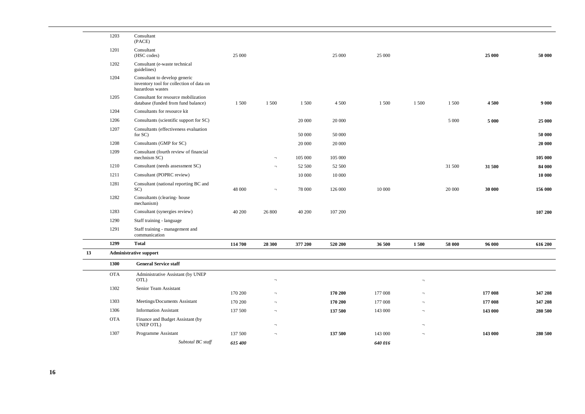|    | 1203       | Consultant<br>(PACE)                                                                          |         |                          |         |         |         |                          |         |         |         |
|----|------------|-----------------------------------------------------------------------------------------------|---------|--------------------------|---------|---------|---------|--------------------------|---------|---------|---------|
|    | 1201       | Consultant<br>(HSC codes)                                                                     | 25 000  |                          |         | 25 000  | 25 000  |                          |         | 25 000  | 50 000  |
|    | 1202       | Consultant (e-waste technical<br>guidelines)                                                  |         |                          |         |         |         |                          |         |         |         |
|    | 1204       | Consultant to develop generic<br>inventory tool for collection of data on<br>hazardous wastes |         |                          |         |         |         |                          |         |         |         |
|    | 1205       | Consultant for resource mobilization<br>database (funded from fund balance)                   | 1 500   | 1 500                    | 1 500   | 4 5 0 0 | 1 500   | 1 500                    | 1 500   | 4500    | 9 0 0 0 |
|    | 1204       | Consultants for resource kit                                                                  |         |                          |         |         |         |                          |         |         |         |
|    | 1206       | Consultants (scientific support for SC)                                                       |         |                          | 20 000  | 20 000  |         |                          | 5 0 0 0 | 5 000   | 25 000  |
|    | 1207       | Consultants (effectiveness evaluation<br>for SC)                                              |         |                          | 50 000  | 50 000  |         |                          |         |         | 50 000  |
|    | 1208       | Consultants (GMP for SC)                                                                      |         |                          | 20 000  | 20 000  |         |                          |         |         | 20 000  |
|    | 1209       | Consultant (fourth review of financial<br>mechnism SC)                                        |         | $\overline{\phantom{a}}$ | 105 000 | 105 000 |         |                          |         |         | 105 000 |
|    | 1210       | Consultant (needs assessment SC)                                                              |         | $\overline{\phantom{a}}$ | 52 500  | 52 500  |         |                          | 31 500  | 31 500  | 84 000  |
|    | 1211       | Consultant (POPRC review)                                                                     |         |                          | 10 000  | 10 000  |         |                          |         |         | 10 000  |
|    | 1281       | Consultant (national reporting BC and<br>SC)                                                  | 48 000  | $\overline{\phantom{a}}$ | 78 000  | 126 000 | 10 000  |                          | 20 000  | 30 000  | 156 000 |
|    | 1282       | Consultants (clearing-house<br>mechanism)                                                     |         |                          |         |         |         |                          |         |         |         |
|    | 1283       | Consultant (synergies review)                                                                 | 40 200  | 26 800                   | 40 200  | 107 200 |         |                          |         |         | 107 200 |
|    | 1290       | Staff training - language                                                                     |         |                          |         |         |         |                          |         |         |         |
|    | 1291       | Staff training - management and<br>communication                                              |         |                          |         |         |         |                          |         |         |         |
|    | 1299       | <b>Total</b>                                                                                  | 114 700 | 28 300                   | 377 200 | 520 200 | 36 500  | 1500                     | 58 000  | 96 000  | 616 200 |
| 13 |            | <b>Administrative support</b>                                                                 |         |                          |         |         |         |                          |         |         |         |
|    | 1300       | <b>General Service staff</b>                                                                  |         |                          |         |         |         |                          |         |         |         |
|    | <b>OTA</b> | Administrative Assistant (by UNEP<br>OTL)                                                     |         | $\overline{\phantom{a}}$ |         |         |         | $\overline{\phantom{a}}$ |         |         |         |
|    | 1302       | Senior Team Assistant                                                                         | 170 200 | $\overline{\phantom{a}}$ |         | 170 200 | 177 008 | $\overline{\phantom{a}}$ |         | 177 008 | 347 208 |
|    | 1303       | Meetings/Documents Assistant                                                                  | 170 200 | $\overline{\phantom{a}}$ |         | 170 200 | 177 008 | $\overline{\phantom{a}}$ |         | 177 008 | 347 208 |
|    | 1306       | <b>Information Assistant</b>                                                                  | 137 500 | $\overline{\phantom{a}}$ |         | 137 500 | 143 000 | $\overline{\phantom{a}}$ |         | 143 000 | 280 500 |
|    | <b>OTA</b> | Finance and Budget Assistant (by<br><b>UNEP OTL)</b>                                          |         | $\overline{\phantom{a}}$ |         |         |         | $\overline{\phantom{0}}$ |         |         |         |
|    | 1307       | Programme Assistant                                                                           | 137 500 | $\overline{\phantom{a}}$ |         | 137 500 | 143 000 | $\overline{\phantom{a}}$ |         | 143 000 | 280 500 |
|    |            | Subtotal BC staff                                                                             | 615 400 |                          |         |         | 640 016 |                          |         |         |         |
|    |            |                                                                                               |         |                          |         |         |         |                          |         |         |         |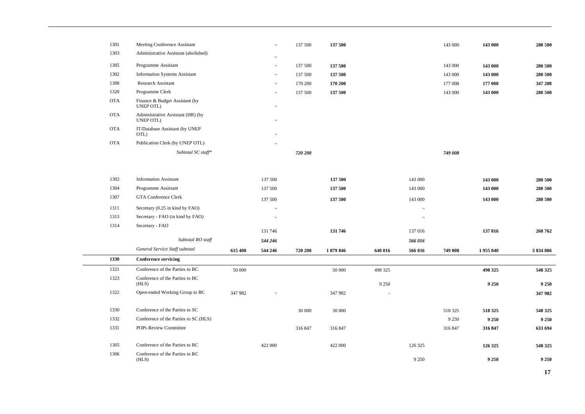| 1301       | Meeting Conference Assistant                   |         | $\lnot$                  | 137 500 | 137 500 |         |                          | 143 000 | 143 000  | 280 500   |
|------------|------------------------------------------------|---------|--------------------------|---------|---------|---------|--------------------------|---------|----------|-----------|
| 1303       | Administrative Assistant (abolished)           |         | T.                       |         |         |         |                          |         |          |           |
| 1305       | Programme Assistant                            |         | $\overline{\phantom{a}}$ | 137 500 | 137 500 |         |                          | 143 000 | 143 000  | 280 500   |
| 1302       | <b>Information Systems Assistant</b>           |         | $\overline{\phantom{a}}$ | 137 500 | 137 500 |         |                          | 143 000 | 143 000  | 280 500   |
| 1308       | <b>Research Assistant</b>                      |         | $\overline{\phantom{a}}$ | 170 200 | 170 200 |         |                          | 177 008 | 177 008  | 347 208   |
| 1320       | Programme Clerk                                |         | $\overline{\phantom{a}}$ | 137 500 | 137 500 |         |                          | 143 000 | 143 000  | 280 500   |
| <b>OTA</b> | Finance & Budget Assistant (by<br>UNEP OTL)    |         | $\overline{\phantom{a}}$ |         |         |         |                          |         |          |           |
| <b>OTA</b> | Administrative Assistant (HR) (by<br>UNEP OTL) |         | $\overline{\phantom{a}}$ |         |         |         |                          |         |          |           |
| <b>OTA</b> | IT/Database Assistant (by UNEP<br>OTL)         |         | $\overline{\phantom{a}}$ |         |         |         |                          |         |          |           |
| <b>OTA</b> | Publication Clerk (by UNEP OTL)                |         | $\overline{\phantom{a}}$ |         |         |         |                          |         |          |           |
|            | Subtotal SC staff*                             |         |                          | 720 200 |         |         |                          | 749 008 |          |           |
|            |                                                |         |                          |         |         |         |                          |         |          |           |
| 1302       | <b>Information Assistant</b>                   |         | 137 500                  |         | 137 500 |         | 143 000                  |         | 143 000  | 280 500   |
| 1304       | Programme Assistant                            |         | 137 500                  |         | 137 500 |         | 143 000                  |         | 143 000  | 280 500   |
| 1307       | <b>GTA Conference Clerk</b>                    |         | 137 500                  |         | 137 500 |         | 143 000                  |         | 143 000  | 280 500   |
| 1311       | Secretary (0.25 in kind by FAO)                |         | $\overline{\phantom{a}}$ |         |         |         | $\overline{\phantom{a}}$ |         |          |           |
| 1313       | Secretary - FAO (in kind by FAO)               |         | $\lnot$                  |         |         |         | $\lnot$                  |         |          |           |
| 1314       | Secretary - FAO                                |         |                          |         |         |         |                          |         |          |           |
|            |                                                |         | 131 746                  |         | 131 746 |         | 137 016                  |         | 137 016  | 268 762   |
|            | Subtotal RO staff                              |         | 544 246                  |         |         |         | 566 016                  |         |          |           |
|            | General Service Staff subtotal                 | 615 400 | 544 246                  | 720 200 | 1879846 | 640 016 | 566 016                  | 749 008 | 1955 040 | 3 834 886 |
| 1330       | <b>Conference servicing</b>                    |         |                          |         |         |         |                          |         |          |           |
| 1321       | Conference of the Parties to BC                | 50 000  |                          |         | 50 000  | 498 325 |                          |         | 498 325  | 548 325   |
| 1323       | Conference of the Parties to BC<br>(HLS)       |         |                          |         |         | 9 2 5 0 |                          |         | 9 2 5 0  | 9 2 5 0   |
| 1322       | Open-ended Working Group to BC                 | 347 982 | $\lnot$                  |         | 347 982 |         |                          |         |          | 347 982   |
| 1330       | Conference of the Parties to SC                |         |                          | 30 000  | 30 000  |         |                          | 518 325 | 518 325  | 548 325   |
| 1332       | Conference of the Parties to SC (HLS)          |         |                          |         |         |         |                          | 9 2 5 0 | 9 2 5 0  | 9 2 5 0   |
| 1331       | POPs Review Committee                          |         |                          | 316 847 | 316 847 |         |                          | 316 847 | 316 847  | 633 694   |
| 1305       | Conference of the Parties to RC                |         | 422 000                  |         | 422 000 |         | 126 325                  |         | 126 325  | 548 325   |
| 1306       | Conference of the Parties to RC<br>(HLS)       |         |                          |         |         |         | 9 2 5 0                  |         | 9 2 5 0  | 9 2 5 0   |
|            |                                                |         |                          |         |         |         |                          |         |          |           |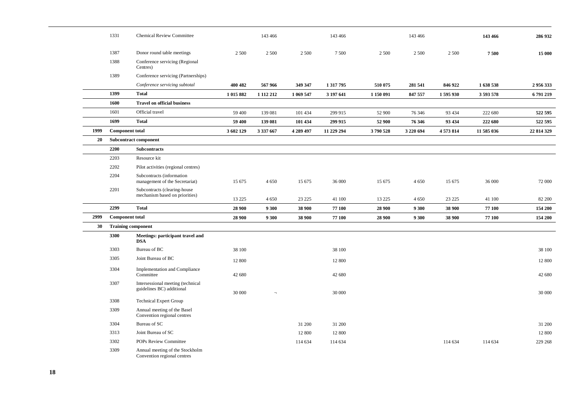|      | 1331                   | <b>Chemical Review Committee</b>                               |           | 143 466       |           | 143 466    |           | 143 466   |         | 143 466    | 286 932    |
|------|------------------------|----------------------------------------------------------------|-----------|---------------|-----------|------------|-----------|-----------|---------|------------|------------|
|      | 1387                   | Donor round table meetings                                     | 2 500     | 2 500         | 2 5 0 0   | 7500       | 2 500     | 2 500     | 2 500   | 7500       | 15 000     |
|      | 1388                   | Conference servicing (Regional<br>Centres)                     |           |               |           |            |           |           |         |            |            |
|      | 1389                   | Conference servicing (Partnerships)                            |           |               |           |            |           |           |         |            |            |
|      |                        | Conference servicing subtotal                                  | 400 482   | 567966        | 349 347   | 1 317 795  | 510 075   | 281 541   | 846 922 | 1638538    | 2956333    |
|      | 1399                   | <b>Total</b>                                                   | 1 015 882 | 1 1 1 2 2 1 2 | 1 069 547 | 3 197 641  | 1 150 091 | 847 557   | 1595930 | 3 593 578  | 6791219    |
|      | 1600                   | <b>Travel on official business</b>                             |           |               |           |            |           |           |         |            |            |
|      | 1601                   | Official travel                                                | 59 400    | 139 081       | 101 434   | 299 915    | 52 900    | 76 34 6   | 93 4 34 | 222 680    | 522 595    |
|      | 1699                   | <b>Total</b>                                                   | 59 400    | 139 081       | 101 434   | 299 915    | 52 900    | 76 346    | 93 4 34 | 222 680    | 522 595    |
| 1999 | <b>Component total</b> |                                                                | 3 602 129 | 3 337 667     | 4 289 497 | 11 229 294 | 3790 528  | 3 220 694 | 4573814 | 11 585 036 | 22 814 329 |
| 20   |                        | <b>Subcontract component</b>                                   |           |               |           |            |           |           |         |            |            |
|      | 2200                   | <b>Subcontracts</b>                                            |           |               |           |            |           |           |         |            |            |
|      | 2203                   | Resource kit                                                   |           |               |           |            |           |           |         |            |            |
|      | 2202                   | Pilot activities (regional centres)                            |           |               |           |            |           |           |         |            |            |
|      | 2204                   | Subcontracts (information<br>management of the Secretariat)    | 15 675    | 4 6 5 0       | 15 675    | 36 000     | 15 675    | 4 6 5 0   | 15 675  | 36 000     | 72 000     |
|      | 2201                   | Subcontracts (clearing-house                                   |           |               |           |            |           |           |         |            |            |
|      |                        | mechanism based on priorities)                                 | 13 2 25   | 4 6 5 0       | 23 225    | 41 100     | 13 225    | 4 6 5 0   | 23 225  | 41 100     | 82 200     |
|      | 2299                   | <b>Total</b>                                                   | 28 900    | 9 3 0 0       | 38 900    | 77 100     | 28 900    | 9 3 0 0   | 38 900  | 77 100     | 154 200    |
| 2999 | <b>Component total</b> |                                                                | 28 900    | 9 3 0 0       | 38 900    | 77 100     | 28 900    | 9 300     | 38 900  | 77 100     | 154 200    |
| 30   |                        | <b>Training component</b>                                      |           |               |           |            |           |           |         |            |            |
|      | 3300                   | Meetings: participant travel and<br><b>DSA</b>                 |           |               |           |            |           |           |         |            |            |
|      | 3303                   | Bureau of BC                                                   | 38 100    |               |           | 38 100     |           |           |         |            | 38 100     |
|      | 3305                   | Joint Bureau of BC                                             | 12 800    |               |           | 12 800     |           |           |         |            | 12 800     |
|      | 3304                   | Implementation and Compliance<br>Committee                     | 42 680    |               |           | 42 680     |           |           |         |            | 42 680     |
|      | 3307                   | Intersessional meeting (technical<br>guidelines BC) additional | 30 000    | $\Box$        |           | 30 000     |           |           |         |            | 30 000     |
|      | 3308                   | <b>Technical Expert Group</b>                                  |           |               |           |            |           |           |         |            |            |
|      | 3309                   | Annual meeting of the Basel<br>Convention regional centres     |           |               |           |            |           |           |         |            |            |
|      | 3304                   | Bureau of SC                                                   |           |               | 31 200    | 31 200     |           |           |         |            | 31 200     |
|      | 3313                   | Joint Bureau of SC                                             |           |               | 12 800    | 12 800     |           |           |         |            | 12 800     |
|      | 3302                   | POPs Review Committee                                          |           |               | 114 634   | 114 634    |           |           | 114 634 | 114 634    | 229 268    |
|      | 3309                   | Annual meeting of the Stockholm<br>Convention regional centres |           |               |           |            |           |           |         |            |            |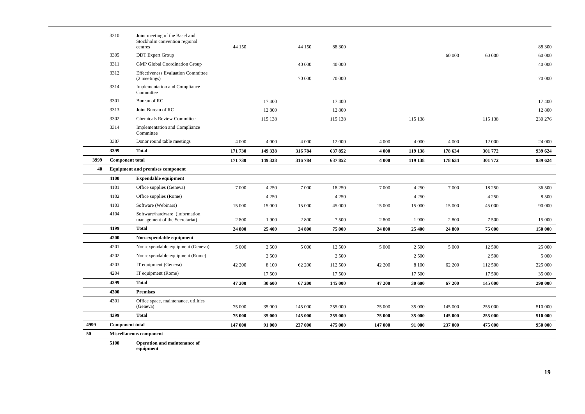|      | 3310                   | Joint meeting of the Basel and<br>Stockholm convention regional<br>centres | 44 150  |         | 44 150  | 88 300  |         |         |         |         | 88 300  |
|------|------------------------|----------------------------------------------------------------------------|---------|---------|---------|---------|---------|---------|---------|---------|---------|
|      | 3305                   | <b>DDT</b> Expert Group                                                    |         |         |         |         |         |         | 60 000  | 60 000  | 60 000  |
|      | 3311                   | <b>GMP</b> Global Coordination Group                                       |         |         | 40 000  | 40 000  |         |         |         |         | 40 000  |
|      | 3312                   | <b>Effectiveness Evaluation Committee</b><br>(2 meetings)                  |         |         | 70 000  | 70 000  |         |         |         |         | 70 000  |
|      | 3314                   | Implementation and Compliance<br>Committee                                 |         |         |         |         |         |         |         |         |         |
|      | 3301                   | Bureau of RC                                                               |         | 17 400  |         | 17 400  |         |         |         |         | 17 400  |
|      | 3313                   | Joint Bureau of RC                                                         |         | 12 800  |         | 12 800  |         |         |         |         | 12 800  |
|      | 3302                   | <b>Chemicals Review Committee</b>                                          |         | 115 138 |         | 115 138 |         | 115 138 |         | 115 138 | 230 276 |
|      | 3314                   | Implementation and Compliance<br>Committee                                 |         |         |         |         |         |         |         |         |         |
|      | 3387                   | Donor round table meetings                                                 | 4 0 0 0 | 4 0 0 0 | 4 0 0 0 | 12 000  | 4 0 0 0 | 4 0 0 0 | 4 0 0 0 | 12 000  | 24 000  |
|      | 3399                   | <b>Total</b>                                                               | 171 730 | 149 338 | 316 784 | 637 852 | 4 000   | 119 138 | 178 634 | 301 772 | 939 624 |
| 3999 | <b>Component total</b> |                                                                            | 171 730 | 149 338 | 316 784 | 637 852 | 4 000   | 119 138 | 178 634 | 301 772 | 939 624 |
| 40   |                        | <b>Equipment and premises component</b>                                    |         |         |         |         |         |         |         |         |         |
|      | 4100                   | <b>Expendable equipment</b>                                                |         |         |         |         |         |         |         |         |         |
|      | 4101                   | Office supplies (Geneva)                                                   | 7 0 0 0 | 4 2 5 0 | 7 0 0 0 | 18 250  | 7 0 0 0 | 4 2 5 0 | 7 0 0 0 | 18 250  | 36 500  |
|      | 4102                   | Office supplies (Rome)                                                     |         | 4 2 5 0 |         | 4 2 5 0 |         | 4 2 5 0 |         | 4 2 5 0 | 8 500   |
|      | 4103                   | Software (Webinars)                                                        | 15 000  | 15 000  | 15 000  | 45 000  | 15 000  | 15 000  | 15 000  | 45 000  | 90 000  |
|      | 4104                   | Software/hardware (information<br>management of the Secretariat)           | 2800    | 1900    | 2800    | 7 500   | 2 800   | 1 900   | 2 800   | 7 500   | 15 000  |
|      | 4199                   | <b>Total</b>                                                               | 24 800  | 25 400  | 24 800  | 75 000  | 24 800  | 25 400  | 24 800  | 75 000  | 150 000 |
|      | 4200                   | Non-expendable equipment                                                   |         |         |         |         |         |         |         |         |         |
|      | 4201                   | Non-expendable equipment (Geneva)                                          | 5 0 0 0 | 2 5 0 0 | 5 0 0 0 | 12 500  | 5 0 0 0 | 2 5 0 0 | 5 0 0 0 | 12 500  | 25 000  |
|      | 4202                   | Non-expendable equipment (Rome)                                            |         | 2 500   |         | 2 500   |         | 2 500   |         | 2 5 0 0 | 5 0 0 0 |
|      | 4203                   | IT equipment (Geneva)                                                      | 42 200  | 8 1 0 0 | 62 200  | 112 500 | 42 200  | 8 1 0 0 | 62 200  | 112 500 | 225 000 |
|      | 4204                   | IT equipment (Rome)                                                        |         | 17 500  |         | 17 500  |         | 17 500  |         | 17 500  | 35 000  |
|      | 4299                   | <b>Total</b>                                                               | 47 200  | 30 600  | 67 200  | 145 000 | 47 200  | 30 600  | 67 200  | 145 000 | 290 000 |
|      | 4300                   | <b>Premises</b>                                                            |         |         |         |         |         |         |         |         |         |
|      | 4301                   | Office space, maintenance, utilities<br>(Geneva)                           | 75 000  | 35 000  | 145 000 | 255 000 | 75 000  | 35 000  | 145 000 | 255 000 | 510 000 |
|      | 4399                   | <b>Total</b>                                                               | 75 000  | 35 000  | 145 000 | 255 000 | 75 000  | 35 000  | 145 000 | 255 000 | 510 000 |
| 4999 | <b>Component total</b> |                                                                            | 147 000 | 91 000  | 237 000 | 475 000 | 147 000 | 91 000  | 237 000 | 475 000 | 950 000 |
| 50   |                        | <b>Miscellaneous component</b>                                             |         |         |         |         |         |         |         |         |         |
|      | 5100                   | Operation and maintenance of                                               |         |         |         |         |         |         |         |         |         |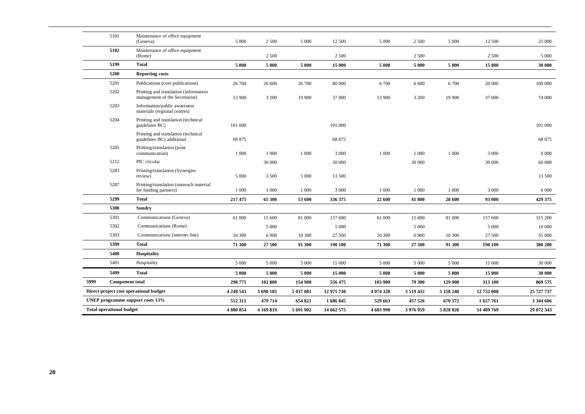|      | 5101                            | Maintenance of office equipment<br>(Geneva)                             | 5 0 0 0   | 2 500     | 5 0 0 0   | 12 500     | 5 0 0 0   | 2 5 0 0     | 5 0 0 0   | 12 500     | 25 000     |
|------|---------------------------------|-------------------------------------------------------------------------|-----------|-----------|-----------|------------|-----------|-------------|-----------|------------|------------|
|      | 5102                            | Maintenance of office equipment<br>(Rome)                               |           | 2 500     |           | 2 500      |           | 2 500       |           | 2 500      | 5 0 0 0    |
|      | 5199                            | <b>Total</b>                                                            | 5 000     | 5 000     | 5 000     | 15 000     | 5 000     | 5 000       | 5 0 0 0   | 15 000     | 30 000     |
|      | 5200                            | <b>Reporting costs</b>                                                  |           |           |           |            |           |             |           |            |            |
|      | 5201                            | Publications (core publications)                                        | 26 700    | 26 600    | 26 700    | 80 000     | 6 700     | 6 600       | 6700      | 20 000     | 100 000    |
|      | 5202                            | Printing and translation (information<br>management of the Secretariat) | 13 900    | 3 200     | 19 900    | 37 000     | 13 900    | 3 2 0 0     | 19 900    | 37 000     | 74 000     |
|      | 5203                            | Information/public awareness<br>materials (regional centres)            |           |           |           |            |           |             |           |            |            |
|      | 5204                            | Printing and translation (technical<br>guidelines BC)                   | 101 000   |           |           | 101 000    |           |             |           |            | 101 000    |
|      |                                 | Printing and translation (technical<br>guidelines BC) additional        | 68 875    |           |           | 68 875     |           |             |           |            | 68 875     |
|      | 5205                            | Printing/translation (joint<br>communication)                           | 1 000     | 1 0 0 0   | 1 000     | 3 0 0 0    | 1 000     | 1 0 0 0     | 1 0 0 0   | 3 0 0 0    | 6 0 0 0    |
|      | 5212                            | PIC circular                                                            |           | 30 000    |           | 30 000     |           | 30 000      |           | 30 000     | 60 000     |
|      | 5283                            | Printing/translation (Synergies<br>review)                              | 5 0 0 0   | 3 500     | 5 0 0 0   | 13 500     |           |             |           |            | 13 500     |
|      | 5287                            | Printing/translation (outreach material<br>for funding partners)        | 1 000     | 1 000     | 1 0 0 0   | 3 000      | 1 000     | 1 000       | 1 0 0 0   | 3 0 0 0    | 6 0 0 0    |
|      | 5299                            | <b>Total</b>                                                            | 217 475   | 65 300    | 53 600    | 336 375    | 22 600    | 41 800      | 28 600    | 93 000     | 429 375    |
|      | 5300                            | <b>Sundry</b>                                                           |           |           |           |            |           |             |           |            |            |
|      | 5301                            | Communications (Geneva)                                                 | 61 000    | 15 600    | 81 000    | 157 600    | 61 000    | 15 600      | 81 000    | 157 600    | 315 200    |
|      | 5302                            | Communications (Rome)                                                   |           | 5 0 0 0   |           | 5 0 0 0    |           | 5 0 0 0     |           | 5 0 0 0    | 10 000     |
|      | 5303                            | Communications (internet line)                                          | 10 300    | 6 900     | 10 300    | 27 500     | 10 300    | 6 9 0 0     | 10 300    | 27 500     | 55 000     |
|      | 5399                            | <b>Total</b>                                                            | 71 300    | 27 500    | 91 300    | 190 100    | 71 300    | 27 500      | 91 300    | 190 100    | 380 200    |
|      | 5400                            | <b>Hospitality</b>                                                      |           |           |           |            |           |             |           |            |            |
|      | 5401                            | Hospitality                                                             | 5 0 0 0   | 5 000     | 5 0 0 0   | 15 000     | 5 000     | 5 0 0 0     | 5 0 0 0   | 15 000     | 30 000     |
|      | 5499                            | <b>Total</b>                                                            | 5 0 0 0   | 5 0 0 0   | 5 0 0 0   | 15 000     | 5 000     | 5 0 0 0     | 5 0 0 0   | 15 000     | 30 000     |
| 5999 | <b>Component total</b>          |                                                                         | 298 775   | 102 800   | 154 900   | 556 475    | 103 900   | 79 300      | 129 900   | 313 100    | 869 575    |
|      |                                 | Direct project cost operational budget                                  | 4 248 543 | 3 690 105 | 5 037 081 | 12 975 730 | 4 074 328 | 3 5 19 4 32 | 5 158 248 | 12 752 008 | 25 727 737 |
|      |                                 | UNEP programme support costs 13%                                        | 552 311   | 479 714   | 654 821   | 1 686 845  | 529 663   | 457 526     | 670 572   | 1657761    | 3 344 606  |
|      | <b>Total operational budget</b> |                                                                         | 4 800 854 | 4 169 819 | 5 691 902 | 14 662 575 | 4 603 990 | 3976959     | 5 828 820 | 14 409 769 | 29 072 343 |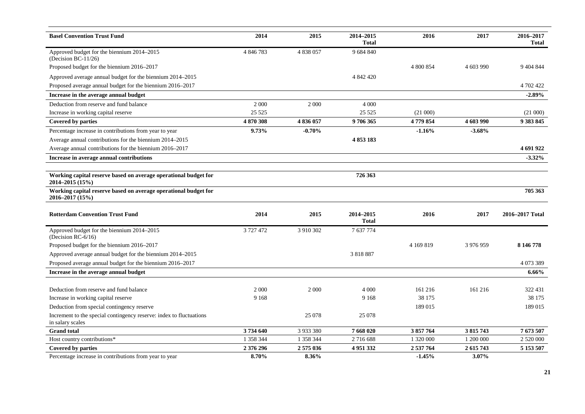| <b>Basel Convention Trust Fund</b>                                                      | 2014      | 2015      | 2014-2015<br><b>Total</b> | 2016      | 2017      | 2016-2017<br>Total |
|-----------------------------------------------------------------------------------------|-----------|-----------|---------------------------|-----------|-----------|--------------------|
| Approved budget for the biennium 2014-2015<br>(Decision BC-11/26)                       | 4 846 783 | 4 838 057 | 9 684 840                 |           |           |                    |
| Proposed budget for the biennium 2016-2017                                              |           |           |                           | 4 800 854 | 4 603 990 | 9 404 844          |
| Approved average annual budget for the biennium 2014–2015                               |           |           | 4 842 420                 |           |           |                    |
| Proposed average annual budget for the biennium 2016-2017                               |           |           |                           |           |           | 4 702 422          |
| Increase in the average annual budget                                                   |           |           |                           |           |           | $-2.89%$           |
| Deduction from reserve and fund balance                                                 | 2 0 0 0   | 2 0 0 0   | 4 0 0 0                   |           |           |                    |
| Increase in working capital reserve                                                     | 25 5 25   |           | 25 5 25                   | (21 000)  |           | (21 000)           |
| Covered by parties                                                                      | 4 870 308 | 4836057   | 9 706 365                 | 4779854   | 4 603 990 | 9 3 8 3 8 4 5      |
| Percentage increase in contributions from year to year                                  | 9.73%     | $-0.70%$  |                           | $-1.16%$  | $-3.68%$  |                    |
| Average annual contributions for the biennium 2014–2015                                 |           |           | 4 853 183                 |           |           |                    |
| Average annual contributions for the biennium 2016-2017                                 |           |           |                           |           |           | 4 691 922          |
| Increase in average annual contributions                                                |           |           |                           |           |           | $-3.32\%$          |
|                                                                                         |           |           |                           |           |           |                    |
| Working capital reserve based on average operational budget for<br>2014-2015 (15%)      |           |           | 726 363                   |           |           |                    |
| Working capital reserve based on average operational budget for<br>2016-2017 (15%)      |           |           |                           |           |           | 705 363            |
| <b>Rotterdam Convention Trust Fund</b>                                                  | 2014      | 2015      | 2014-2015<br><b>Total</b> | 2016      | 2017      | 2016-2017 Total    |
| Approved budget for the biennium 2014–2015<br>(Decision RC-6/16)                        | 3 727 472 | 3 910 302 | 7 637 774                 |           |           |                    |
| Proposed budget for the biennium 2016-2017                                              |           |           |                           | 4 169 819 | 3 976 959 | 8 146 778          |
| Approved average annual budget for the biennium 2014-2015                               |           |           | 3 818 887                 |           |           |                    |
| Proposed average annual budget for the biennium 2016-2017                               |           |           |                           |           |           | 4 073 389          |
| Increase in the average annual budget                                                   |           |           |                           |           |           | 6.66%              |
|                                                                                         |           |           |                           |           |           |                    |
| Deduction from reserve and fund balance                                                 | 2 0 0 0   | 2 000     | 4 0 0 0                   | 161 216   | 161 216   | 322 431            |
| Increase in working capital reserve                                                     | 9 1 6 8   |           | 9 1 6 8                   | 38 175    |           | 38 175             |
| Deduction from special contingency reserve                                              |           |           |                           | 189 015   |           | 189 015            |
| Increment to the special contingency reserve: index to fluctuations<br>in salary scales |           | 25 078    | 25 078                    |           |           |                    |
| <b>Grand</b> total                                                                      | 3 734 640 | 3 933 380 | 7 668 020                 | 3 857 764 | 3 815 743 | 7673507            |
| Host country contributions*                                                             | 1 358 344 | 1 358 344 | 2716688                   | 1 320 000 | 1 200 000 | 2 520 000          |
| <b>Covered by parties</b>                                                               | 2 376 296 | 2 575 036 | 4951332                   | 2 537 764 | 2 615 743 | 5 153 507          |
| Percentage increase in contributions from year to year                                  | 8.70%     | 8.36%     |                           | $-1.45%$  | 3.07%     |                    |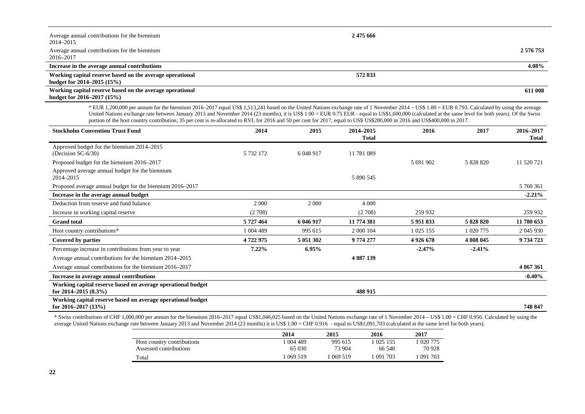| Average annual contributions for the biennium<br>2014–2015                                | 2 475 666 |           |
|-------------------------------------------------------------------------------------------|-----------|-----------|
| Average annual contributions for the biennium<br>2016–2017                                |           | 2 576 753 |
| Increase in the average annual contributions                                              |           | 4.08%     |
| Working capital reserve based on the average operational<br>budget for $2014 - 2015(15%)$ | 572833    |           |
| Working capital reserve based on the average operational<br>budget for $2016 - 2017(15%)$ |           | 611 008   |

\* EUR 1,200,000 per annum for the biennium 2016–2017 equal US\$ 1,513,241 based on the United Nations exchange rate of 1 November 2014 – US\$ 1.00 = EUR 0.793. Calculated by using the average United Nations exchange rate between January 2013 and November 2014 (23 months), it is US\$ 1.00 = EUR 0.75 EUR - equal to US\$1,600,000 (calculated at the same level for both years). Of the Swiss portion of the host country contribution, 35 per cent is re-allocated to RVL for 2016 and 50 per cent for 2017, equal to US\$ US\$280,000 in 2016 and US\$400,000 in 2017.

| <b>Stockholm Convention Trust Fund</b>                                                 | 2014      | 2015      | 2014-2015<br><b>Total</b> | 2016        | 2017      | 2016-2017<br>Total |
|----------------------------------------------------------------------------------------|-----------|-----------|---------------------------|-------------|-----------|--------------------|
| Approved budget for the biennium 2014–2015<br>(Decision $SC-6/30$ )                    | 5 732 172 | 6 048 917 | 11 781 089                |             |           |                    |
| Proposed budget for the biennium 2016–2017                                             |           |           |                           | 5 691 902   | 5 828 820 | 11 520 721         |
| Approved average annual budget for the biennium<br>2014-2015                           |           |           | 5 890 545                 |             |           |                    |
| Proposed average annual budget for the biennium 2016–2017                              |           |           |                           |             |           | 5 760 361          |
| Increase in the average annual budget                                                  |           |           |                           |             |           | $-2.21\%$          |
| Deduction from reserve and fund balance                                                | 2 0 0 0   | 2 0 0 0   | 4 0 0 0                   |             |           |                    |
| Increase in working capital reserve                                                    | (2708)    |           | (2708)                    | 259 932     |           | 259 932            |
| <b>Grand</b> total                                                                     | 5 727 464 | 6 046 917 | 11 774 381                | 5 951 833   | 5 828 820 | 11 780 653         |
| Host country contributions*                                                            | 1 004 489 | 995 615   | 2 000 104                 | 1 0 25 1 55 | 1 020 775 | 2 045 930          |
| Covered by parties                                                                     | 4722975   | 5 051 302 | 9 774 277                 | 4 9 26 6 78 | 4 808 045 | 9 734 723          |
| Percentage increase in contributions from year to year                                 | $7.22\%$  | 6.95%     |                           | $-2.47%$    | $-2.41%$  |                    |
| Average annual contributions for the biennium 2014–2015                                |           |           | 4 887 139                 |             |           |                    |
| Average annual contributions for the biennium 2016–2017                                |           |           |                           |             |           | 4 867 361          |
| Increase in average annual contributions                                               |           |           |                           |             |           | $-0.40\%$          |
| Working capital reserve based on average operational budget<br>for $2014 - 2015(8.3%)$ |           |           | 488 915                   |             |           |                    |
| Working capital reserve based on average operational budget<br>for $2016 - 2017(13%)$  |           |           |                           |             |           | 748 847            |

\* Swiss contributions of CHF 1,000,000 per annum for the biennium 2016–2017 equal US\$1,046,025 based on the United Nations exchange rate of 1 November 2014 – US\$ 1.00 = CHF 0.956. Calculated by using the average United Nations exchange rate between January 2013 and November 2014 (23 months) it is US\$ 1.00 = CHF 0.916 - equal to US\$1,091,703 (calculated at the same level for both years).

|                            | 2014    | 2015    | 2016      | 2017    |
|----------------------------|---------|---------|-----------|---------|
| Host country contributions | 004 489 | 995 615 | 1 025 155 | 020 775 |
| Assessed contributions     | 65 030  | 73 904  | 66 548    | 70 928  |
| Total                      | 069 519 | 069 519 | 1 091 703 | 091 703 |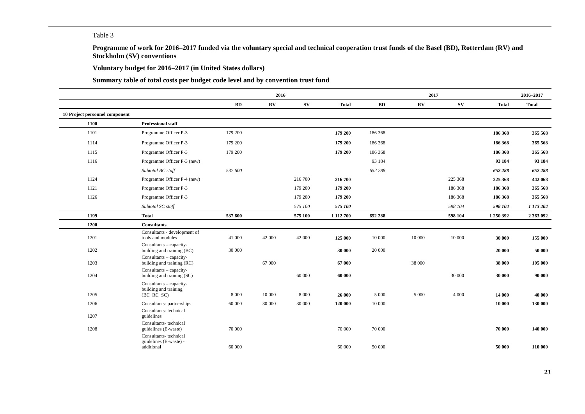### Table 3

**Programme of work for 2016–2017 funded via the voluntary special and technical cooperation trust funds of the Basel (BD), Rotterdam (RV) and Stockholm (SV) conventions**

**Voluntary budget for 2016–2017 (in United States dollars)**

**Summary table of total costs per budget code level and by convention trust fund**

|                                |                                                                |           | 2016                   |             |               |         | 2017       |             |              | 2016-2017    |
|--------------------------------|----------------------------------------------------------------|-----------|------------------------|-------------|---------------|---------|------------|-------------|--------------|--------------|
|                                |                                                                | <b>BD</b> | $\mathbf{R}\mathbf{V}$ | $S_{\rm V}$ | <b>Total</b>  | BD      | ${\bf RV}$ | $S_{\rm V}$ | <b>Total</b> | <b>Total</b> |
| 10 Project personnel component |                                                                |           |                        |             |               |         |            |             |              |              |
| 1100                           | <b>Professional staff</b>                                      |           |                        |             |               |         |            |             |              |              |
| 1101                           | Programme Officer P-3                                          | 179 200   |                        |             | 179 200       | 186 368 |            |             | 186 368      | 365 568      |
| 1114                           | Programme Officer P-3                                          | 179 200   |                        |             | 179 200       | 186 368 |            |             | 186 368      | 365 568      |
| 1115                           | Programme Officer P-3                                          | 179 200   |                        |             | 179 200       | 186 368 |            |             | 186 368      | 365 568      |
| 1116                           | Programme Officer P-3 (new)                                    |           |                        |             |               | 93 184  |            |             | 93 184       | 93 184       |
|                                | Subtotal BC staff                                              | 537 600   |                        |             |               | 652 288 |            |             | 652 288      | 652 288      |
| 1124                           | Programme Officer P-4 (new)                                    |           |                        | 216 700     | 216 700       |         |            | 225 368     | 225 368      | 442 068      |
| 1121                           | Programme Officer P-3                                          |           |                        | 179 200     | 179 200       |         |            | 186 368     | 186 368      | 365 568      |
| 1126                           | Programme Officer P-3                                          |           |                        | 179 200     | 179 200       |         |            | 186 368     | 186 368      | 365 568      |
|                                | Subtotal SC staff                                              |           |                        | 575 100     | 575 100       |         |            | 598 104     | 598 104      | 1 173 204    |
| 1199                           | <b>Total</b>                                                   | 537 600   |                        | 575 100     | 1 1 1 2 7 0 0 | 652 288 |            | 598 104     | 1 250 392    | 2 363 092    |
| 1200                           | <b>Consultants</b>                                             |           |                        |             |               |         |            |             |              |              |
| 1201                           | Consultants - development of<br>tools and modules              | 41 000    | 42 000                 | 42 000      | 125 000       | 10 000  | 10 000     | 10 000      | 30 000       | 155 000      |
| 1202                           | $Consultants - capacity-$<br>building and training (BC)        | 30 000    |                        |             | 30 000        | 20 000  |            |             | 20 000       | 50 000       |
| 1203                           | $Consultants - capacity-$<br>building and training (RC)        |           | 67 000                 |             | 67 000        |         | 38 000     |             | 38 000       | 105 000      |
| 1204                           | $Consultants - capacity-$<br>building and training (SC)        |           |                        | 60 000      | 60 000        |         |            | 30 000      | 30 000       | 90 000       |
| 1205                           | Consultants - capacity-<br>building and training<br>(BC RC SC) | 8 0 0 0   | 10 000                 | 8 0 0 0     | 26 000        | 5 0 0 0 | 5 0 0 0    | 4 0 0 0     | 14 000       | 40 000       |
| 1206                           | Consultants- partnerships                                      | 60 000    | 30 000                 | 30 000      | 120 000       | 10 000  |            |             | 10 000       | 130 000      |
| 1207                           | Consultants-technical<br>guidelines                            |           |                        |             |               |         |            |             |              |              |
| 1208                           | Consultants-technical<br>guidelines (E-waste)                  | 70 000    |                        |             | 70 000        | 70 000  |            |             | 70 000       | 140 000      |
|                                | Consultants-technical<br>guidelines (E-waste) -<br>additional  | 60 000    |                        |             | 60 000        | 50 000  |            |             | 50 000       | 110 000      |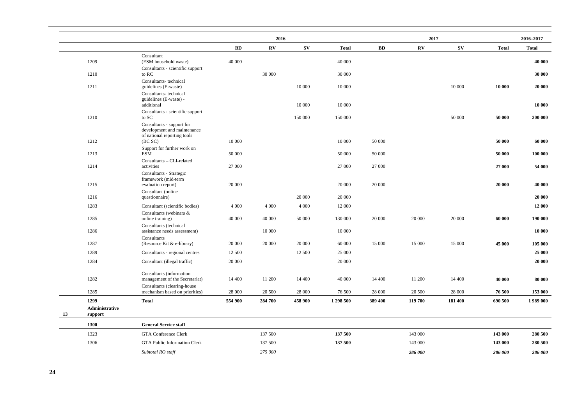|                                 |                                                                      |           | 2016     |         |              |         | 2017                   |             |              | 2016-2017    |
|---------------------------------|----------------------------------------------------------------------|-----------|----------|---------|--------------|---------|------------------------|-------------|--------------|--------------|
|                                 |                                                                      | <b>BD</b> | $\bf RV$ | SV      | <b>Total</b> | BD      | $\mathbf{R}\mathbf{V}$ | $S_{\rm V}$ | <b>Total</b> | <b>Total</b> |
| 1209                            | Consultant<br>(ESM household waste)                                  | 40 000    |          |         | 40 000       |         |                        |             |              | 40 000       |
| 1210                            | Consultants - scientific support<br>to RC                            |           | 30 000   |         | 30 000       |         |                        |             |              | 30 000       |
| 1211                            | Consultants-technical<br>guidelines (E-waste)                        |           |          | 10 000  | 10 000       |         |                        | 10 000      | 10 000       | 20 000       |
|                                 | Consultants-technical<br>guidelines (E-waste) -<br>additional        |           |          | 10 000  | 10 000       |         |                        |             |              | 10 000       |
| 1210                            | Consultants - scientific support<br>to SC                            |           |          | 150 000 | 150 000      |         |                        | 50 000      | 50 000       | 200 000      |
|                                 | Consultants - support for<br>development and maintenance             |           |          |         |              |         |                        |             |              |              |
| 1212                            | of national reporting tools<br>(BC SC)                               | 10 000    |          |         | 10 000       | 50 000  |                        |             | 50 000       | 60 000       |
| 1213                            | Support for further work on<br>ESM                                   | 50 000    |          |         | 50 000       | 50 000  |                        |             | 50 000       | 100 000      |
| 1214                            | Consultants - CLI-related<br>activities                              | 27 000    |          |         | 27 000       | 27 000  |                        |             | 27 000       | 54 000       |
| 1215                            | Consultants - Strategic<br>framework (mid-term<br>evaluation report) | 20 000    |          |         | 20 000       | 20 000  |                        |             | 20 000       | 40 000       |
|                                 | Consultant (online                                                   |           |          |         |              |         |                        |             |              |              |
| 1216                            | questionnaire)                                                       |           |          | 20 000  | 20 000       |         |                        |             |              | 20 000       |
| 1283                            | Consultant (scientific bodies)                                       | 4 0 0 0   | 4 0 0 0  | 4 0 0 0 | 12 000       |         |                        |             |              | 12 000       |
| 1285                            | Consultants (webinars &<br>online training)                          | 40 000    | 40 000   | 50 000  | 130 000      | 20 000  | 20 000                 | 20 000      | 60 000       | 190 000      |
| 1286                            | Consultants (technical<br>assistance needs assessment)               |           | 10 000   |         | 10 000       |         |                        |             |              | 10 000       |
| 1287                            | Consultants<br>(Resource Kit & e-library)                            | 20 000    | 20 000   | 20 000  | 60 000       | 15 000  | 15 000                 | 15 000      | 45 000       | 105 000      |
| 1289                            | Consultants - regional centres                                       | 12 500    |          | 12 500  | 25 000       |         |                        |             |              | 25 000       |
| 1284                            | Consultant (illegal traffic)                                         | 20 000    |          |         | 20 000       |         |                        |             |              | 20 000       |
| 1282                            | Consultants (information<br>management of the Secretariat)           | 14 400    | 11 200   | 14 400  | 40 000       | 14 400  | 11 200                 | 14 400      | 40 000       | 80 000       |
| 1285                            | Consultants (clearing-house<br>mechanism based on priorities)        | 28 000    | 20 500   | 28 000  | 76 500       | 28 000  | 20 500                 | 28 000      | 76 500       | 153 000      |
| 1299                            | <b>Total</b>                                                         | 554 900   | 284 700  | 458 900 | 1 298 500    | 389 400 | 119 700                | 181 400     | 690 500      | 1989 000     |
| Administrative<br>13<br>support |                                                                      |           |          |         |              |         |                        |             |              |              |
| 1300                            | <b>General Service staff</b>                                         |           |          |         |              |         |                        |             |              |              |
| 1323                            | <b>GTA Conference Clerk</b>                                          |           | 137 500  |         | 137 500      |         | 143 000                |             | 143 000      | 280 500      |
| 1306                            | <b>GTA Public Information Clerk</b>                                  |           | 137 500  |         | 137 500      |         | 143 000                |             | 143 000      | 280 500      |
|                                 | Subtotal RO staff                                                    |           | 275 000  |         |              |         | 286 000                |             | 286 000      | 286 000      |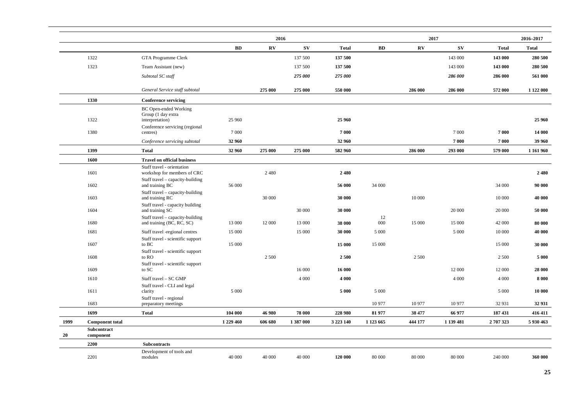|           |                          |                                                               |           | 2016                   |             |               |               |                        | 2017        |              | 2016-2017    |
|-----------|--------------------------|---------------------------------------------------------------|-----------|------------------------|-------------|---------------|---------------|------------------------|-------------|--------------|--------------|
|           |                          |                                                               | BD        | $\mathbf{R}\mathbf{V}$ | $S_{\rm V}$ | <b>Total</b>  | BD            | $\mathbf{R}\mathbf{V}$ | $S_{\rm V}$ | <b>Total</b> | <b>Total</b> |
|           | 1322                     | GTA Programme Clerk                                           |           |                        | 137 500     | 137 500       |               |                        | 143 000     | 143 000      | 280 500      |
|           | 1323                     | Team Assistant (new)                                          |           |                        | 137 500     | 137 500       |               |                        | 143 000     | 143 000      | 280 500      |
|           |                          | Subtotal SC staff                                             |           |                        | 275 000     | 275 000       |               |                        | 286 000     | 286 000      | 561 000      |
|           |                          | General Service staff subtotal                                |           | 275 000                | 275 000     | 550 000       |               | 286 000                | 286 000     | 572 000      | 1 122 000    |
|           | 1330                     | <b>Conference servicing</b>                                   |           |                        |             |               |               |                        |             |              |              |
|           |                          | <b>BC</b> Open-ended Working<br>Group (1 day extra            |           |                        |             |               |               |                        |             |              |              |
|           | 1322                     | interpretation)<br>Conference servicing (regional             | 25 960    |                        |             | 25 960        |               |                        |             |              | 25 960       |
|           | 1380                     | centres)                                                      | 7 0 0 0   |                        |             | 7 000         |               |                        | 7 0 0 0     | 7 000        | 14 000       |
|           |                          | Conference servicing subtotal                                 | 32 960    |                        |             | 32 960        |               |                        | 7000        | 7 000        | 39 960       |
|           | 1399                     | <b>Total</b>                                                  | 32 960    | 275 000                | 275 000     | 582 960       |               | 286 000                | 293 000     | 579 000      | 1 161 960    |
|           | 1600                     | <b>Travel on official business</b>                            |           |                        |             |               |               |                        |             |              |              |
|           | 1601                     | Staff travel - orientation<br>workshop for members of CRC     |           | 2 4 8 0                |             | 2480          |               |                        |             |              | 2 4 8 0      |
|           | 1602                     | Staff travel - capacity-building<br>and training BC           | 56 000    |                        |             | 56 000        | 34 000        |                        |             | 34 000       | 90 000       |
|           | 1603                     | Staff travel - capacity-building<br>and training RC           |           | 30 000                 |             | 30 000        |               | 10 000                 |             | 10 000       | 40 000       |
|           | 1604                     | Staff travel - capacity building<br>and training SC           |           |                        | 30 000      | 30 000        |               |                        | 20 000      | 20 000       | 50 000       |
|           | 1680                     | Staff travel - capacity-building<br>and training (BC, RC, SC) | 13 000    | 12 000                 | 13 000      | 38 000        | 12<br>000     | 15 000                 | 15 000      | 42 000       | 80 000       |
|           | 1681                     | Staff travel -regional centres                                | 15 000    |                        | 15 000      | 30 000        | 5 0 0 0       |                        | 5 0 0 0     | 10 000       | 40 000       |
|           | 1607                     | Staff travel - scientific support<br>to BC                    | 15 000    |                        |             | 15 000        | 15 000        |                        |             | 15 000       | 30 000       |
|           | 1608                     | Staff travel - scientific support<br>to RO                    |           | 2 500                  |             | 2500          |               | 2 500                  |             | 2 5 0 0      | 5 000        |
|           | 1609                     | Staff travel - scientific support<br>to SC                    |           |                        | 16 000      | 16 000        |               |                        | 12 000      | 12 000       | 28 000       |
|           | 1610                     | Staff travel - SC GMP                                         |           |                        | 4 0 0 0     | 4 0 0 0       |               |                        | 4 0 0 0     | 4 0 0 0      | 8 0 0 0      |
|           | 1611                     | Staff travel - CLI and legal<br>clarity                       | 5 0 0 0   |                        |             | 5 0 0 0       | 5 0 0 0       |                        |             | 5 0 0 0      | 10 000       |
|           | 1683                     | Staff travel - regional<br>preparatory meetings               |           |                        |             |               | 10 977        | 10 977                 | 10 977      | 32 931       | 32 931       |
|           | 1699                     | <b>Total</b>                                                  | 104 000   | 46 980                 | 78 000      | 228 980       | 81 977        | 38 477                 | 66 977      | 187 431      | 416 411      |
| 1999      | <b>Component total</b>   |                                                               | 1 229 460 | 606 680                | 1 387 000   | 3 2 2 3 1 4 0 | 1 1 2 3 6 6 5 | 444 177                | 1 139 481   | 2707323      | 5 930 463    |
| <b>20</b> | Subcontract<br>component |                                                               |           |                        |             |               |               |                        |             |              |              |
|           | 2200                     | <b>Subcontracts</b>                                           |           |                        |             |               |               |                        |             |              |              |
|           | 2201                     | Development of tools and<br>modules                           | 40 000    | 40 000                 | 40 000      | 120 000       | 80 000        | 80 000                 | 80 000      | 240 000      | 360 000      |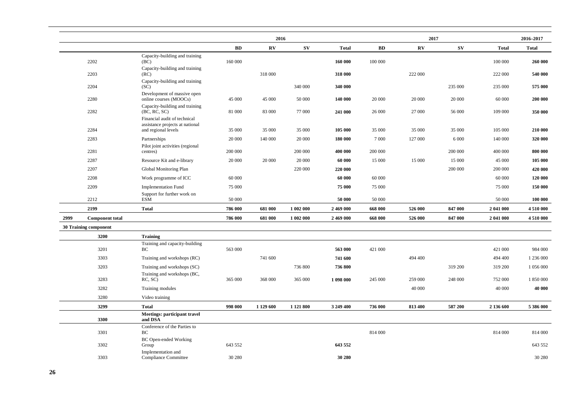|      |                              |                                                                 |         | 2016                    |            |              |         | 2017                   |            |              | 2016-2017    |
|------|------------------------------|-----------------------------------------------------------------|---------|-------------------------|------------|--------------|---------|------------------------|------------|--------------|--------------|
|      |                              |                                                                 | BD      | $\mathbf{R} \mathbf{V}$ | ${\bf SV}$ | <b>Total</b> | BD      | $\mathbf{R}\mathbf{V}$ | ${\bf SV}$ | <b>Total</b> | <b>Total</b> |
|      | 2202                         | Capacity-building and training<br>(BC)                          | 160 000 |                         |            | 160 000      | 100 000 |                        |            | 100 000      | 260 000      |
|      | 2203                         | Capacity-building and training<br>(RC)                          |         | 318 000                 |            | 318 000      |         | 222 000                |            | 222 000      | 540 000      |
|      | 2204                         | Capacity-building and training<br>(SC)                          |         |                         | 340 000    | 340 000      |         |                        | 235 000    | 235 000      | 575 000      |
|      | 2280                         | Development of massive open<br>online courses (MOOCs)           | 45 000  | 45 000                  | 50 000     | 140 000      | 20 000  | 20 000                 | 20 000     | 60 000       | 200 000      |
|      | 2282                         | Capacity-building and training<br>(BC, RC, SC)                  | 81 000  | 83 000                  | 77 000     | 241 000      | 26 000  | 27 000                 | 56 000     | 109 000      | 350 000      |
|      |                              | Financial audit of technical<br>assistance projects at national |         |                         |            |              |         |                        |            |              |              |
|      | 2284                         | and regional levels                                             | 35 000  | 35 000                  | 35 000     | 105 000      | 35 000  | 35 000                 | 35 000     | 105 000      | 210 000      |
|      | 2283                         | Partnerships                                                    | 20 000  | 140 000                 | 20 000     | 180 000      | 7 0 0 0 | 127 000                | 6 0 0 0    | 140 000      | 320 000      |
|      | 2281                         | Pilot joint activities (regional<br>centres)                    | 200 000 |                         | 200 000    | 400 000      | 200 000 |                        | 200 000    | 400 000      | 800 000      |
|      | 2287                         | Resource Kit and e-library                                      | 20 000  | 20 000                  | 20 000     | 60 000       | 15 000  | 15 000                 | 15 000     | 45 000       | 105 000      |
|      | 2207                         | Global Monitoring Plan                                          |         |                         | 220 000    | 220 000      |         |                        | 200 000    | 200 000      | 420 000      |
|      | 2208                         | Work programme of ICC                                           | 60 000  |                         |            | 60 000       | 60 000  |                        |            | 60 000       | 120 000      |
|      | 2209                         | <b>Implementation Fund</b>                                      | 75 000  |                         |            | 75 000       | 75 000  |                        |            | 75 000       | 150 000      |
|      | 2212                         | Support for further work on<br><b>ESM</b>                       | 50 000  |                         |            | 50 000       | 50 000  |                        |            | 50 000       | 100 000      |
|      | 2199                         | <b>Total</b>                                                    | 786 000 | 681 000                 | 1 002 000  | 2 469 000    | 668 000 | 526 000                | 847 000    | 2 041 000    | 4 510 000    |
| 2999 | <b>Component total</b>       |                                                                 | 786 000 | 681 000                 | 1 002 000  | 2 469 000    | 668 000 | 526 000                | 847 000    | 2 041 000    | 4 510 000    |
|      | <b>30 Training component</b> |                                                                 |         |                         |            |              |         |                        |            |              |              |
|      | 3200                         | <b>Training</b>                                                 |         |                         |            |              |         |                        |            |              |              |
|      | 3201                         | Training and capacity-building<br>BC                            | 563 000 |                         |            | 563 000      | 421 000 |                        |            | 421 000      | 984 000      |
|      | 3303                         | Training and workshops (RC)                                     |         | 741 600                 |            | 741 600      |         | 494 400                |            | 494 400      | 1 236 000    |
|      | 3203                         | Training and workshops (SC)                                     |         |                         | 736 800    | 736 800      |         |                        | 319 200    | 319 200      | 1 056 000    |
|      |                              | Training and workshops (BC,                                     |         |                         |            |              |         |                        |            |              |              |
|      | 3283                         | RC, SC)                                                         | 365 000 | 368 000                 | 365 000    | 1 098 000    | 245 000 | 259 000                | 248 000    | 752 000      | 1 850 000    |
|      | 3282                         | Training modules                                                |         |                         |            |              |         | 40 000                 |            | 40 000       | 40 000       |
|      | 3280                         | Video training                                                  |         |                         |            |              |         |                        |            |              |              |
|      | 3299                         | <b>Total</b>                                                    | 998 000 | 1 129 600               | 1 121 800  | 3 249 400    | 736 000 | 813 400                | 587 200    | 2 136 600    | 5 386 000    |
|      | 3300                         | <b>Meetings: participant travel</b><br>and DSA                  |         |                         |            |              |         |                        |            |              |              |
|      | 3301                         | Conference of the Parties to<br>BC                              |         |                         |            |              | 814 000 |                        |            | 814 000      | 814 000      |
|      | 3302                         | BC Open-ended Working<br>Group                                  | 643 552 |                         |            | 643 552      |         |                        |            |              | 643 552      |
|      | 3303                         | Implementation and<br><b>Compliance Committee</b>               | 30 280  |                         |            | 30 280       |         |                        |            |              | 30 280       |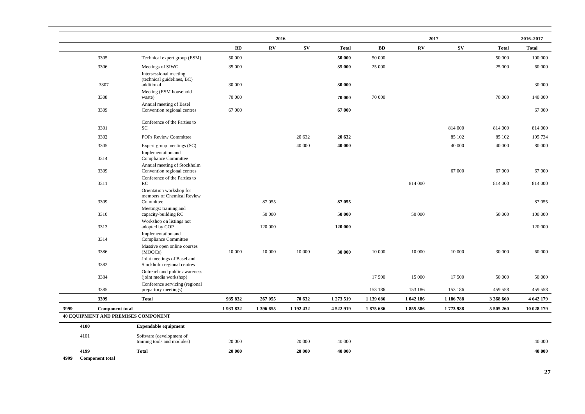|                                            |                                                            |            | 2016                   |           |              |           | 2017                   |            |              | 2016-2017    |
|--------------------------------------------|------------------------------------------------------------|------------|------------------------|-----------|--------------|-----------|------------------------|------------|--------------|--------------|
|                                            |                                                            | ${\bf BD}$ | $\mathbf{R}\mathbf{V}$ | <b>SV</b> | <b>Total</b> | <b>BD</b> | $\mathbf{R}\mathbf{V}$ | ${\bf SV}$ | <b>Total</b> | <b>Total</b> |
| 3305                                       | Technical expert group (ESM)                               | 50 000     |                        |           | 50 000       | 50 000    |                        |            | 50 000       | 100 000      |
| 3306                                       | Meetings of SIWG                                           | 35 000     |                        |           | 35 000       | 25 000    |                        |            | 25 000       | 60 000       |
|                                            | Intersessional meeting<br>(technical guidelines, BC)       |            |                        |           |              |           |                        |            |              |              |
| 3307                                       | additional                                                 | 30 000     |                        |           | 30 000       |           |                        |            |              | 30 000       |
| 3308                                       | Meeting (ESM household<br>waste)                           | 70 000     |                        |           | 70 000       | 70 000    |                        |            | 70 000       | 140 000      |
|                                            | Annual meeting of Basel                                    |            |                        |           |              |           |                        |            |              |              |
| 3309                                       | Convention regional centres                                | 67 000     |                        |           | 67 000       |           |                        |            |              | 67 000       |
|                                            | Conference of the Parties to                               |            |                        |           |              |           |                        |            |              |              |
| 3301                                       | SC.                                                        |            |                        |           |              |           |                        | 814 000    | 814 000      | 814 000      |
| 3302                                       | POPs Review Committee                                      |            |                        | 20 632    | 20 632       |           |                        | 85 102     | 85 102       | 105 734      |
| 3305                                       | Expert group meetings (SC)                                 |            |                        | 40 000    | 40 000       |           |                        | 40 000     | 40 000       | 80 000       |
| 3314                                       | Implementation and<br><b>Compliance Committee</b>          |            |                        |           |              |           |                        |            |              |              |
| 3309                                       | Annual meeting of Stockholm<br>Convention regional centres |            |                        |           |              |           |                        | 67 000     | 67 000       | 67 000       |
|                                            | Conference of the Parties to                               |            |                        |           |              |           |                        |            |              |              |
| 3311                                       | RC<br>Orientation workshop for                             |            |                        |           |              |           | 814 000                |            | 814 000      | 814 000      |
| 3309                                       | members of Chemical Review<br>Committee                    |            | 87055                  |           | 87 055       |           |                        |            |              | 87 055       |
| 3310                                       | Meetings: training and<br>capacity-building RC             |            | 50 000                 |           | 50 000       |           | 50 000                 |            | 50 000       | 100 000      |
|                                            | Workshop on listings not                                   |            |                        |           |              |           |                        |            |              |              |
| 3313                                       | adopted by COP<br>Implementation and                       |            | 120 000                |           | 120 000      |           |                        |            |              | 120 000      |
| 3314                                       | <b>Compliance Committee</b>                                |            |                        |           |              |           |                        |            |              |              |
| 3386                                       | Massive open online courses<br>(MOOCs)                     | 10 000     | 10 000                 | 10 000    | 30 000       | 10 000    | 10 000                 | 10 000     | 30 000       | 60 000       |
|                                            | Joint meetings of Basel and                                |            |                        |           |              |           |                        |            |              |              |
| 3382                                       | Stockholm regional centres                                 |            |                        |           |              |           |                        |            |              |              |
| 3384                                       | Outreach and public awareness<br>(joint media workshop)    |            |                        |           |              | 17 500    | 15 000                 | 17 500     | 50 000       | 50 000       |
|                                            | Conference servicing (regional                             |            |                        |           |              |           |                        |            |              |              |
| 3385                                       | prepartory meetings)                                       |            |                        |           |              | 153 186   | 153 186                | 153 186    | 459 558      | 459 558      |
| 3399                                       | <b>Total</b>                                               | 935 832    | 267 055                | 70 632    | 1 273 519    | 1 139 686 | 1 042 186              | 1 186 788  | 3 368 660    | 4 642 179    |
| 3999<br><b>Component total</b>             |                                                            | 1933832    | 1 396 655              | 1 192 432 | 4 522 919    | 1875 686  | 1855586                | 1773988    | 5 505 260    | 10 028 179   |
| <b>40 EQUIPMENT AND PREMISES COMPONENT</b> |                                                            |            |                        |           |              |           |                        |            |              |              |
| 4100                                       | <b>Expendable equipment</b>                                |            |                        |           |              |           |                        |            |              |              |
| 4101                                       | Software (development of<br>training tools and modules)    | 20 000     |                        | 20 000    | 40 000       |           |                        |            |              | 40 000       |
| 4199                                       | <b>Total</b>                                               | 20 000     |                        | 20 000    | 40 000       |           |                        |            |              | 40 000       |
| 4999<br><b>Component total</b>             |                                                            |            |                        |           |              |           |                        |            |              |              |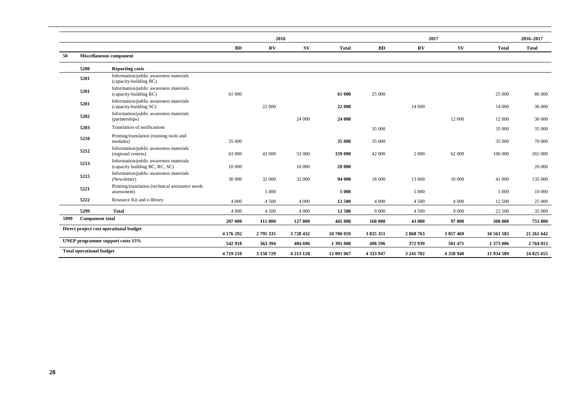|      |                                 |                                                                          |           | 2016      |               |              |           |           | 2017        |              | 2016-2017    |
|------|---------------------------------|--------------------------------------------------------------------------|-----------|-----------|---------------|--------------|-----------|-----------|-------------|--------------|--------------|
|      |                                 |                                                                          | BD        | $\bf RV$  | $S_{V}$       | <b>Total</b> | BD        | $\bf RV$  | $S_{\rm V}$ | <b>Total</b> | <b>Total</b> |
| 50   |                                 | Miscellaneous component                                                  |           |           |               |              |           |           |             |              |              |
|      | 5200                            | <b>Reporting costs</b>                                                   |           |           |               |              |           |           |             |              |              |
|      | 5201                            | Information/public awareness materials<br>(capacity-building BC)         |           |           |               |              |           |           |             |              |              |
|      | 5201                            | Information/public awareness materials<br>(capacity-building RC)         | 61 000    |           |               | 61 000       | 25 000    |           |             | 25 000       | 86 000       |
|      | 5201                            | Information/public awareness materials<br>(capacity-building SC)         |           | 22 000    |               | 22 000       |           | 14 000    |             | 14 000       | 36 000       |
|      | 5202                            | Information/public awareness materials<br>(partnerships)                 |           |           | 24 000        | 24 000       |           |           | 12 000      | 12 000       | 36 000       |
|      | 5203                            | Translation of notifications                                             |           |           |               |              | 35 000    |           |             | 35 000       | 35 000       |
|      | 5210                            | Printing/translation (training tools and<br>modules)                     | 35 000    |           |               | 35 000       | 35 000    |           |             | 35 000       | 70 000       |
|      | 5212                            | Information/public awareness materials<br>(regional centres)             | 63 000    | 43 000    | 53 000        | 159 000      | 42 000    | 2 0 0 0   | 62 000      | 106 000      | 265 000      |
|      | 5213                            | Information/public awareness materials<br>(capacity building BC, RC, SC) | 10 000    |           | 10 000        | 20 000       |           |           |             |              | 20 000       |
|      | 5215                            | Information/public awareness materials<br>(Newsletter)                   | 30 000    | 32 000    | 32 000        | 94 000       | 18 000    | 13 000    | 10 000      | 41 000       | 135 000      |
|      | 5221                            | Printing/translation (technical assistance needs<br>assessment)          |           | 5 0 0 0   |               | 5 0 0 0      |           | 5 0 0 0   |             | 5 0 0 0      | 10 000       |
|      | 5222                            | Resource Kit and e-library                                               | 4 0 0 0   | 4 5 0 0   | 4 0 0 0       | 12 500       | 4 0 0 0   | 4 500     | 4 0 0 0     | 12 500       | 25 000       |
|      | 5299                            | <b>Total</b>                                                             | 4 0 0 0   | 4 5 0 0   | 4 0 0 0       | 12 500       | 9 0 0 0   | 4 5 0 0   | 9 0 0 0     | 22 500       | 35 000       |
| 5999 | <b>Component total</b>          |                                                                          | 207 000   | 111 000   | 127 000       | 445 000      | 168 000   | 43 000    | 97 000      | 308 000      | 753 000      |
|      |                                 | Direct project cost operational budget                                   | 4 176 292 | 2795335   | 3728432       | 10 700 059   | 3835351   | 2868763   | 3857469     | 10 561 583   | 21 261 642   |
|      |                                 | UNEP programme support costs 13%                                         | 542 918   | 363 394   | 484 696       | 1 391 008    | 498 596   | 372 939   | 501 471     | 1373 006     | 2 764 013    |
|      | <b>Total operational budget</b> |                                                                          | 4719210   | 3 158 729 | 4 2 1 3 1 2 8 | 12 091 067   | 4 333 947 | 3 241 702 | 4 358 940   | 11 934 589   | 24 025 655   |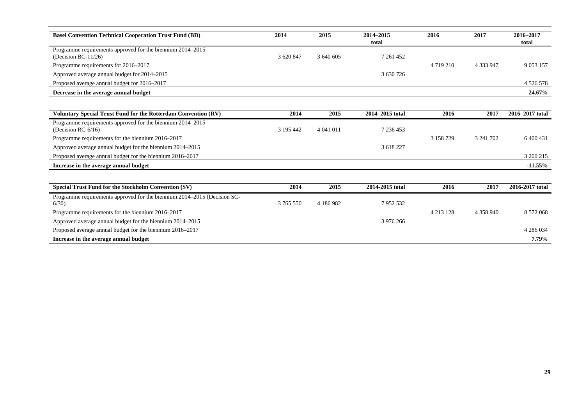| <b>Basel Convention Technical Cooperation Trust Fund (BD)</b>                        | 2014      | 2015      | 2014-2015<br>total | 2016          | 2017        | 2016-2017<br>total |
|--------------------------------------------------------------------------------------|-----------|-----------|--------------------|---------------|-------------|--------------------|
| Programme requirements approved for the biennium 2014-2015<br>(Decision BC-11/26)    | 3 620 847 | 3 640 605 | 7 261 452          |               |             |                    |
| Programme requirements for 2016–2017                                                 |           |           |                    | 4 7 19 2 10   | 4 3 3 9 4 7 | 9 0 5 3 1 5 7      |
| Approved average annual budget for 2014–2015                                         |           |           | 3 630 726          |               |             |                    |
| Proposed average annual budget for 2016–2017                                         |           |           |                    |               |             | 4 5 2 6 5 7 8      |
| Decrease in the average annual budget                                                |           |           |                    |               |             | 24.67%             |
|                                                                                      |           |           |                    |               |             |                    |
| Voluntary Special Trust Fund for the Rotterdam Convention (RV)                       | 2014      | 2015      | 2014-2015 total    | 2016          | 2017        | 2016-2017 total    |
| Programme requirements approved for the biennium 2014–2015<br>(Decision RC- $6/16$ ) | 3 195 442 | 4 041 011 | 7 236 453          |               |             |                    |
| Programme requirements for the biennium 2016–2017                                    |           |           |                    | 3 158 729     | 3 241 702   | 6 400 431          |
| Approved average annual budget for the biennium 2014–2015                            |           |           | 3 618 227          |               |             |                    |
| Proposed average annual budget for the biennium 2016-2017                            |           |           |                    |               |             | 3 200 215          |
| Increase in the average annual budget                                                |           |           |                    |               |             | $-11.55%$          |
|                                                                                      |           |           |                    |               |             |                    |
| Special Trust Fund for the Stockholm Convention (SV)                                 | 2014      | 2015      | 2014-2015 total    | 2016          | 2017        | 2016-2017 total    |
| Programme requirements approved for the biennium 2014–2015 (Decision SC-<br>6/30     | 3 765 550 | 4 186 982 | 7952532            |               |             |                    |
| Programme requirements for the biennium 2016–2017                                    |           |           |                    | 4 2 1 3 1 2 8 | 4 358 940   | 8 572 068          |
| Approved average annual budget for the biennium 2014–2015                            |           |           | 3 976 266          |               |             |                    |
| Proposed average annual budget for the biennium 2016–2017                            |           |           |                    |               |             | 4 286 034          |
| Increase in the average annual budget                                                |           |           |                    |               |             | 7.79%              |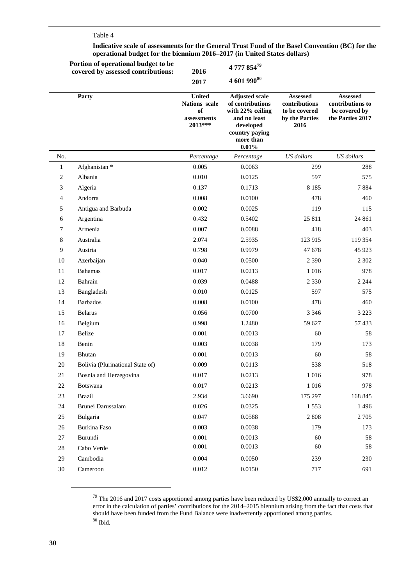### Table 4

L,

**Portion of operational budget to be**

#### **Indicative scale of assessments for the General Trust Fund of the Basel Convention (BC) for the operational budget for the biennium 2016–2017 (in United States dollars)**

|              | Portion of operational budget to be<br>covered by assessed contributions: | 2016                                                           | 4 777 85479                                                                                                                        |                                                                      |                                                                          |
|--------------|---------------------------------------------------------------------------|----------------------------------------------------------------|------------------------------------------------------------------------------------------------------------------------------------|----------------------------------------------------------------------|--------------------------------------------------------------------------|
|              |                                                                           | 2017                                                           | 4 601 990 $80$                                                                                                                     |                                                                      |                                                                          |
|              | Party                                                                     | <b>United</b><br>Nations scale<br>of<br>assessments<br>2013*** | <b>Adjusted scale</b><br>of contributions<br>with 22% ceiling<br>and no least<br>developed<br>country paying<br>more than<br>0.01% | Assessed<br>contributions<br>to be covered<br>by the Parties<br>2016 | <b>Assessed</b><br>contributions to<br>be covered by<br>the Parties 2017 |
| No.          |                                                                           | Percentage                                                     | Percentage                                                                                                                         | US dollars                                                           | US dollars                                                               |
| $\mathbf{1}$ | Afghanistan *                                                             | 0.005                                                          | 0.0063                                                                                                                             | 299                                                                  | 288                                                                      |
| 2            | Albania                                                                   | 0.010                                                          | 0.0125                                                                                                                             | 597                                                                  | 575                                                                      |
| 3            | Algeria                                                                   | 0.137                                                          | 0.1713                                                                                                                             | 8 1 8 5                                                              | 7884                                                                     |
| 4            | Andorra                                                                   | 0.008                                                          | 0.0100                                                                                                                             | 478                                                                  | 460                                                                      |
| 5            | Antigua and Barbuda                                                       | 0.002                                                          | 0.0025                                                                                                                             | 119                                                                  | 115                                                                      |
| 6            | Argentina                                                                 | 0.432                                                          | 0.5402                                                                                                                             | 25 811                                                               | 24 861                                                                   |
| 7            | Armenia                                                                   | 0.007                                                          | 0.0088                                                                                                                             | 418                                                                  | 403                                                                      |
| 8            | Australia                                                                 | 2.074                                                          | 2.5935                                                                                                                             | 123 915                                                              | 119 354                                                                  |
| 9            | Austria                                                                   | 0.798                                                          | 0.9979                                                                                                                             | 47 678                                                               | 45 9 23                                                                  |
| 10           | Azerbaijan                                                                | 0.040                                                          | 0.0500                                                                                                                             | 2 3 9 0                                                              | 2 3 0 2                                                                  |
| 11           | <b>Bahamas</b>                                                            | 0.017                                                          | 0.0213                                                                                                                             | 1 0 1 6                                                              | 978                                                                      |
| 12           | Bahrain                                                                   | 0.039                                                          | 0.0488                                                                                                                             | 2 3 3 0                                                              | 2 2 4 4                                                                  |
| 13           | Bangladesh                                                                | 0.010                                                          | 0.0125                                                                                                                             | 597                                                                  | 575                                                                      |
| 14           | <b>Barbados</b>                                                           | 0.008                                                          | 0.0100                                                                                                                             | 478                                                                  | 460                                                                      |
| 15           | <b>Belarus</b>                                                            | 0.056                                                          | 0.0700                                                                                                                             | 3 3 4 6                                                              | 3 2 2 3                                                                  |
| 16           | Belgium                                                                   | 0.998                                                          | 1.2480                                                                                                                             | 59 627                                                               | 57433                                                                    |
| 17           | Belize                                                                    | 0.001                                                          | 0.0013                                                                                                                             | 60                                                                   | 58                                                                       |
| 18           | Benin                                                                     | 0.003                                                          | 0.0038                                                                                                                             | 179                                                                  | 173                                                                      |
| 19           | Bhutan                                                                    | 0.001                                                          | 0.0013                                                                                                                             | 60                                                                   | 58                                                                       |
| 20           | Bolivia (Plurinational State of)                                          | 0.009                                                          | 0.0113                                                                                                                             | 538                                                                  | 518                                                                      |
| 21           | Bosnia and Herzegovina                                                    | 0.017                                                          | 0.0213                                                                                                                             | $1\,016$                                                             | 978                                                                      |
| 22           | Botswana                                                                  | 0.017                                                          | 0.0213                                                                                                                             | 1 0 1 6                                                              | 978                                                                      |
| $23\,$       | <b>Brazil</b>                                                             | 2.934                                                          | 3.6690                                                                                                                             | 175 297                                                              | 168 845                                                                  |
| 24           | Brunei Darussalam                                                         | 0.026                                                          | 0.0325                                                                                                                             | 1553                                                                 | 1 4 9 6                                                                  |
| $25\,$       | Bulgaria                                                                  | 0.047                                                          | 0.0588                                                                                                                             | 2 8 0 8                                                              | 2 7 0 5                                                                  |
| 26           | <b>Burkina Faso</b>                                                       | 0.003                                                          | 0.0038                                                                                                                             | 179                                                                  | 173                                                                      |
| $27\,$       | Burundi                                                                   | 0.001                                                          | 0.0013                                                                                                                             | 60                                                                   | 58                                                                       |
| $28\,$       | Cabo Verde                                                                | 0.001                                                          | 0.0013                                                                                                                             | 60                                                                   | 58                                                                       |
| 29           | Cambodia                                                                  | 0.004                                                          | 0.0050                                                                                                                             | 239                                                                  | 230                                                                      |
| $30\,$       | Cameroon                                                                  | 0.012                                                          | 0.0150                                                                                                                             | 717                                                                  | 691                                                                      |

 $79$  The 2016 and 2017 costs apportioned among parties have been reduced by US\$2,000 annually to correct an error in the calculation of parties' contributions for the 2014–2015 biennium arising from the fact that costs that should have been funded from the Fund Balance were inadvertently apportioned among parties.  $^{80}$  Ibid.

<span id="page-29-1"></span><span id="page-29-0"></span> $\overline{a}$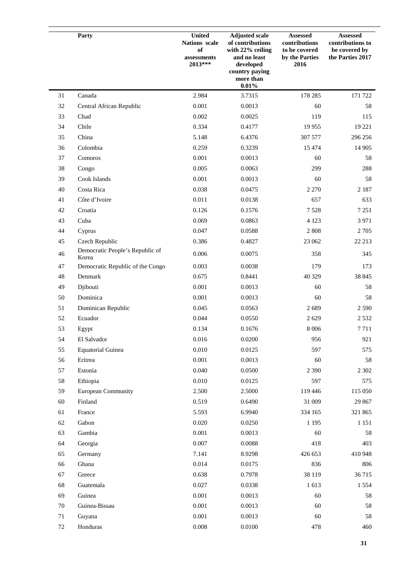|        | Party                                    | <b>United</b><br>Nations scale<br>of<br>assessments<br>2013*** | <b>Adjusted scale</b><br>of contributions<br>with 22% ceiling<br>and no least<br>developed<br>country paying<br>more than<br>0.01% | Assessed<br>contributions<br>to be covered<br>by the Parties<br>2016 | <b>Assessed</b><br>contributions to<br>be covered by<br>the Parties 2017 |
|--------|------------------------------------------|----------------------------------------------------------------|------------------------------------------------------------------------------------------------------------------------------------|----------------------------------------------------------------------|--------------------------------------------------------------------------|
| 31     | Canada                                   | 2.984                                                          | 3.7315                                                                                                                             | 178 285                                                              | 171 722                                                                  |
| 32     | Central African Republic                 | 0.001                                                          | 0.0013                                                                                                                             | 60                                                                   | 58                                                                       |
| 33     | Chad                                     | 0.002                                                          | 0.0025                                                                                                                             | 119                                                                  | 115                                                                      |
| 34     | Chile                                    | 0.334                                                          | 0.4177                                                                                                                             | 19 9 55                                                              | 19 221                                                                   |
| 35     | China                                    | 5.148                                                          | 6.4376                                                                                                                             | 307 577                                                              | 296 256                                                                  |
| 36     | Colombia                                 | 0.259                                                          | 0.3239                                                                                                                             | 15 4 74                                                              | 14 905                                                                   |
| 37     | Comoros                                  | 0.001                                                          | 0.0013                                                                                                                             | 60                                                                   | 58                                                                       |
| 38     | Congo                                    | 0.005                                                          | 0.0063                                                                                                                             | 299                                                                  | 288                                                                      |
| 39     | Cook Islands                             | 0.001                                                          | 0.0013                                                                                                                             | 60                                                                   | 58                                                                       |
| 40     | Costa Rica                               | 0.038                                                          | 0.0475                                                                                                                             | 2 2 7 0                                                              | 2 1 8 7                                                                  |
| 41     | Côte d'Ivoire                            | 0.011                                                          | 0.0138                                                                                                                             | 657                                                                  | 633                                                                      |
| 42     | Croatia                                  | 0.126                                                          | 0.1576                                                                                                                             | 7528                                                                 | 7 2 5 1                                                                  |
| 43     | Cuba                                     | 0.069                                                          | 0.0863                                                                                                                             | 4 1 2 3                                                              | 3 9 7 1                                                                  |
| 44     | Cyprus                                   | 0.047                                                          | 0.0588                                                                                                                             | 2 8 0 8                                                              | 2 7 0 5                                                                  |
| 45     | Czech Republic                           | 0.386                                                          | 0.4827                                                                                                                             | 23 062                                                               | 22 213                                                                   |
| 46     | Democratic People's Republic of<br>Korea | 0.006                                                          | 0.0075                                                                                                                             | 358                                                                  | 345                                                                      |
| 47     | Democratic Republic of the Congo         | 0.003                                                          | 0.0038                                                                                                                             | 179                                                                  | 173                                                                      |
| 48     | Denmark                                  | 0.675                                                          | 0.8441                                                                                                                             | 40 329                                                               | 38 845                                                                   |
| 49     | Djibouti                                 | 0.001                                                          | 0.0013                                                                                                                             | 60                                                                   | 58                                                                       |
| 50     | Dominica                                 | 0.001                                                          | 0.0013                                                                                                                             | 60                                                                   | 58                                                                       |
| 51     | Dominican Republic                       | 0.045                                                          | 0.0563                                                                                                                             | 2689                                                                 | 2 5 9 0                                                                  |
| 52     | Ecuador                                  | 0.044                                                          | 0.0550                                                                                                                             | 2 6 2 9                                                              | 2 5 3 2                                                                  |
| 53     | Egypt                                    | 0.134                                                          | 0.1676                                                                                                                             | 8 0 0 6                                                              | 7711                                                                     |
| 54     | El Salvador                              | $0.016\,$                                                      | 0.0200                                                                                                                             | 956                                                                  | 921                                                                      |
| 55     | <b>Equatorial Guinea</b>                 | 0.010                                                          | 0.0125                                                                                                                             | 597                                                                  | 575                                                                      |
| 56     | Eritrea                                  | 0.001                                                          | 0.0013                                                                                                                             | 60                                                                   | 58                                                                       |
| 57     | Estonia                                  | 0.040                                                          | 0.0500                                                                                                                             | 2 3 9 0                                                              | 2 3 0 2                                                                  |
| 58     | Ethiopia                                 | 0.010                                                          | 0.0125                                                                                                                             | 597                                                                  | 575                                                                      |
| 59     | <b>European Community</b>                | 2.500                                                          | 2.5000                                                                                                                             | 119 446                                                              | 115 050                                                                  |
| 60     | Finland                                  | 0.519                                                          | 0.6490                                                                                                                             | 31 009                                                               | 29 867                                                                   |
| 61     | France                                   | 5.593                                                          | 6.9940                                                                                                                             | 334 165                                                              | 321 865                                                                  |
| 62     | Gabon                                    | 0.020                                                          | 0.0250                                                                                                                             | 1 1 9 5                                                              | 1 1 5 1                                                                  |
| 63     | Gambia                                   | 0.001                                                          | 0.0013                                                                                                                             | 60                                                                   | 58                                                                       |
| 64     | Georgia                                  | 0.007                                                          | 0.0088                                                                                                                             | 418                                                                  | 403                                                                      |
| 65     | Germany                                  | 7.141                                                          | 8.9298                                                                                                                             | 426 653                                                              | 410 948                                                                  |
| 66     | Ghana                                    | 0.014                                                          | 0.0175                                                                                                                             | 836                                                                  | 806                                                                      |
| 67     | Greece                                   | 0.638                                                          | 0.7978                                                                                                                             | 38 119                                                               | 36715                                                                    |
| 68     | Guatemala                                | 0.027                                                          | 0.0338                                                                                                                             | 1613                                                                 | 1 5 5 4                                                                  |
| 69     | Guinea                                   | 0.001                                                          | 0.0013                                                                                                                             | 60                                                                   | 58                                                                       |
| 70     | Guinea-Bissau                            | 0.001                                                          | 0.0013                                                                                                                             | 60                                                                   | 58                                                                       |
| $71\,$ | Guyana                                   | 0.001                                                          | 0.0013                                                                                                                             | 60                                                                   | 58                                                                       |
| $72\,$ | Honduras                                 | 0.008                                                          | 0.0100                                                                                                                             | 478                                                                  | 460                                                                      |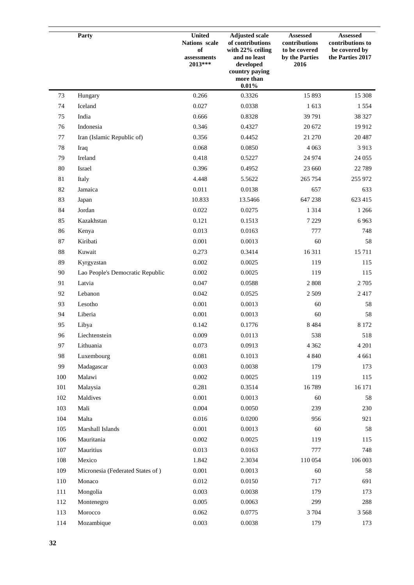|     | Party                            | <b>United</b><br>Nations scale<br>of<br>$\,$ assessments<br>2013*** | <b>Adjusted scale</b><br>of contributions<br>with 22% ceiling<br>and no least<br>developed<br>country paying<br>more than<br>0.01% | <b>Assessed</b><br>contributions<br>to be covered<br>by the Parties<br>2016 | <b>Assessed</b><br>contributions to<br>be covered by<br>the Parties 2017 |
|-----|----------------------------------|---------------------------------------------------------------------|------------------------------------------------------------------------------------------------------------------------------------|-----------------------------------------------------------------------------|--------------------------------------------------------------------------|
| 73  | Hungary                          | 0.266                                                               | 0.3326                                                                                                                             | 15 893                                                                      | 15 308                                                                   |
| 74  | Iceland                          | 0.027                                                               | 0.0338                                                                                                                             | 1613                                                                        | 1 5 5 4                                                                  |
| 75  | India                            | 0.666                                                               | 0.8328                                                                                                                             | 39 791                                                                      | 38 327                                                                   |
| 76  | Indonesia                        | 0.346                                                               | 0.4327                                                                                                                             | 20 672                                                                      | 19912                                                                    |
| 77  | Iran (Islamic Republic of)       | 0.356                                                               | 0.4452                                                                                                                             | 21 270                                                                      | 20 4 87                                                                  |
| 78  | Iraq                             | 0.068                                                               | 0.0850                                                                                                                             | 4 0 6 3                                                                     | 3913                                                                     |
| 79  | Ireland                          | 0.418                                                               | 0.5227                                                                                                                             | 24 9 74                                                                     | 24 0 55                                                                  |
| 80  | Israel                           | 0.396                                                               | 0.4952                                                                                                                             | 23 660                                                                      | 22 7 89                                                                  |
| 81  | Italy                            | 4.448                                                               | 5.5622                                                                                                                             | 265 754                                                                     | 255 972                                                                  |
| 82  | Jamaica                          | 0.011                                                               | 0.0138                                                                                                                             | 657                                                                         | 633                                                                      |
| 83  | Japan                            | 10.833                                                              | 13.5466                                                                                                                            | 647 238                                                                     | 623 415                                                                  |
| 84  | Jordan                           | 0.022                                                               | 0.0275                                                                                                                             | 1 3 1 4                                                                     | 1 2 6 6                                                                  |
| 85  | Kazakhstan                       | 0.121                                                               | 0.1513                                                                                                                             | 7 2 2 9                                                                     | 6963                                                                     |
| 86  | Kenya                            | 0.013                                                               | 0.0163                                                                                                                             | 777                                                                         | 748                                                                      |
| 87  | Kiribati                         | 0.001                                                               | 0.0013                                                                                                                             | 60                                                                          | 58                                                                       |
| 88  | Kuwait                           | 0.273                                                               | 0.3414                                                                                                                             | 16311                                                                       | 15711                                                                    |
| 89  | Kyrgyzstan                       | 0.002                                                               | 0.0025                                                                                                                             | 119                                                                         | 115                                                                      |
| 90  | Lao People's Democratic Republic | 0.002                                                               | 0.0025                                                                                                                             | 119                                                                         | 115                                                                      |
| 91  | Latvia                           | 0.047                                                               | 0.0588                                                                                                                             | 2 8 0 8                                                                     | 2 7 0 5                                                                  |
| 92  | Lebanon                          | 0.042                                                               | 0.0525                                                                                                                             | 2 5 0 9                                                                     | 2417                                                                     |
| 93  | Lesotho                          | 0.001                                                               | 0.0013                                                                                                                             | 60                                                                          | 58                                                                       |
| 94  | Liberia                          | 0.001                                                               | 0.0013                                                                                                                             | 60                                                                          | 58                                                                       |
| 95  | Libya                            | 0.142                                                               | 0.1776                                                                                                                             | 8 4 8 4                                                                     | 8 1 7 2                                                                  |
| 96  | Liechtenstein                    | 0.009                                                               | 0.0113                                                                                                                             | 538                                                                         | 518                                                                      |
| 97  | Lithuania                        | 0.073                                                               | 0.0913                                                                                                                             | 4 3 6 2                                                                     | 4 2 0 1                                                                  |
| 98  | Luxembourg                       | 0.081                                                               | 0.1013                                                                                                                             | 4 8 4 0                                                                     | 4 6 6 1                                                                  |
| 99  | Madagascar                       | 0.003                                                               | 0.0038                                                                                                                             | 179                                                                         | 173                                                                      |
| 100 | Malawi                           | 0.002                                                               | 0.0025                                                                                                                             | 119                                                                         | 115                                                                      |
| 101 | Malaysia                         | 0.281                                                               | 0.3514                                                                                                                             | 16789                                                                       | 16 17 1                                                                  |
| 102 | Maldives                         | 0.001                                                               | 0.0013                                                                                                                             | 60                                                                          | 58                                                                       |
| 103 | Mali                             | 0.004                                                               | 0.0050                                                                                                                             | 239                                                                         | 230                                                                      |
| 104 | Malta                            | 0.016                                                               | 0.0200                                                                                                                             | 956                                                                         | 921                                                                      |
| 105 | Marshall Islands                 | 0.001                                                               | 0.0013                                                                                                                             | 60                                                                          | 58                                                                       |
| 106 | Mauritania                       | 0.002                                                               | 0.0025                                                                                                                             | 119                                                                         | 115                                                                      |
| 107 | Mauritius                        | 0.013                                                               | 0.0163                                                                                                                             | 777                                                                         | 748                                                                      |
| 108 | Mexico                           | 1.842                                                               | 2.3034                                                                                                                             | 110 054                                                                     | 106 003                                                                  |
| 109 | Micronesia (Federated States of) | 0.001                                                               | 0.0013                                                                                                                             | 60                                                                          | 58                                                                       |
| 110 | Monaco                           | 0.012                                                               | 0.0150                                                                                                                             | 717                                                                         | 691                                                                      |
| 111 | Mongolia                         | 0.003                                                               | 0.0038                                                                                                                             | 179                                                                         | 173                                                                      |
| 112 | Montenegro                       | 0.005                                                               | 0.0063                                                                                                                             | 299                                                                         | 288                                                                      |
| 113 | Morocco                          | 0.062                                                               | 0.0775                                                                                                                             | 3 704                                                                       | 3 5 6 8                                                                  |
| 114 | Mozambique                       | 0.003                                                               | 0.0038                                                                                                                             | 179                                                                         | 173                                                                      |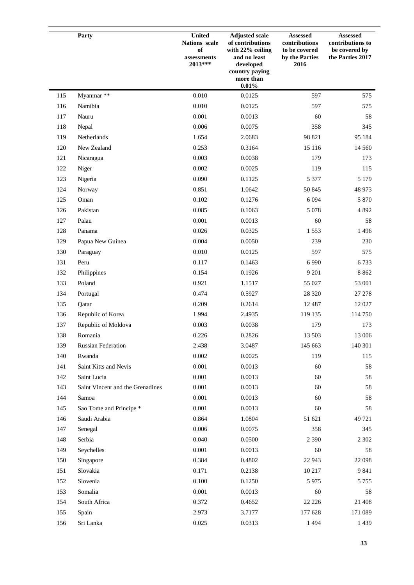|     | Party                            | <b>United</b><br>Nations scale<br>of<br>$\,$ assessments<br>2013*** | <b>Adjusted scale</b><br>of contributions<br>with 22% ceiling<br>and no least<br>developed<br>country paying<br>more than<br>0.01% | <b>Assessed</b><br>contributions<br>to be covered<br>by the Parties<br>2016 | <b>Assessed</b><br>contributions to<br>be covered by<br>the Parties 2017 |
|-----|----------------------------------|---------------------------------------------------------------------|------------------------------------------------------------------------------------------------------------------------------------|-----------------------------------------------------------------------------|--------------------------------------------------------------------------|
| 115 | Myanmar **                       | 0.010                                                               | 0.0125                                                                                                                             | 597                                                                         | 575                                                                      |
| 116 | Namibia                          | 0.010                                                               | 0.0125                                                                                                                             | 597                                                                         | 575                                                                      |
| 117 | Nauru                            | 0.001                                                               | 0.0013                                                                                                                             | 60                                                                          | 58                                                                       |
| 118 | Nepal                            | 0.006                                                               | 0.0075                                                                                                                             | 358                                                                         | 345                                                                      |
| 119 | Netherlands                      | 1.654                                                               | 2.0683                                                                                                                             | 98 821                                                                      | 95 184                                                                   |
| 120 | New Zealand                      | 0.253                                                               | 0.3164                                                                                                                             | 15 116                                                                      | 14 5 6 0                                                                 |
| 121 | Nicaragua                        | 0.003                                                               | 0.0038                                                                                                                             | 179                                                                         | 173                                                                      |
| 122 | Niger                            | 0.002                                                               | 0.0025                                                                                                                             | 119                                                                         | 115                                                                      |
| 123 | Nigeria                          | 0.090                                                               | 0.1125                                                                                                                             | 5 3 7 7                                                                     | 5 1 7 9                                                                  |
| 124 | Norway                           | 0.851                                                               | 1.0642                                                                                                                             | 50 845                                                                      | 48 973                                                                   |
| 125 | Oman                             | 0.102                                                               | 0.1276                                                                                                                             | 6 0 9 4                                                                     | 5 8 7 0                                                                  |
| 126 | Pakistan                         | 0.085                                                               | 0.1063                                                                                                                             | 5 0 7 8                                                                     | 4 8 9 2                                                                  |
| 127 | Palau                            | 0.001                                                               | 0.0013                                                                                                                             | 60                                                                          | 58                                                                       |
| 128 | Panama                           | 0.026                                                               | 0.0325                                                                                                                             | 1553                                                                        | 1 4 9 6                                                                  |
| 129 | Papua New Guinea                 | 0.004                                                               | 0.0050                                                                                                                             | 239                                                                         | 230                                                                      |
| 130 | Paraguay                         | 0.010                                                               | 0.0125                                                                                                                             | 597                                                                         | 575                                                                      |
| 131 | Peru                             | 0.117                                                               | 0.1463                                                                                                                             | 6 9 9 0                                                                     | 6733                                                                     |
| 132 | Philippines                      | 0.154                                                               | 0.1926                                                                                                                             | 9 2 0 1                                                                     | 8 8 6 2                                                                  |
| 133 | Poland                           | 0.921                                                               | 1.1517                                                                                                                             | 55 027                                                                      | 53 001                                                                   |
| 134 | Portugal                         | 0.474                                                               | 0.5927                                                                                                                             | 28 3 20                                                                     | 27 27 8                                                                  |
| 135 | Qatar                            | 0.209                                                               | 0.2614                                                                                                                             | 12 4 8 7                                                                    | 12 027                                                                   |
| 136 | Republic of Korea                | 1.994                                                               | 2.4935                                                                                                                             | 119 135                                                                     | 114 750                                                                  |
| 137 | Republic of Moldova              | 0.003                                                               | 0.0038                                                                                                                             | 179                                                                         | 173                                                                      |
| 138 | Romania                          | 0.226                                                               | 0.2826                                                                                                                             | 13 503                                                                      | 13 006                                                                   |
| 139 | <b>Russian Federation</b>        | 2.438                                                               | 3.0487                                                                                                                             | 145 663                                                                     | 140 301                                                                  |
| 140 | Rwanda                           | 0.002                                                               | 0.0025                                                                                                                             | 119                                                                         | 115                                                                      |
| 141 | Saint Kitts and Nevis            | 0.001                                                               | 0.0013                                                                                                                             | 60                                                                          | 58                                                                       |
| 142 | Saint Lucia                      | 0.001                                                               | 0.0013                                                                                                                             | 60                                                                          | 58                                                                       |
| 143 | Saint Vincent and the Grenadines | 0.001                                                               | 0.0013                                                                                                                             | 60                                                                          | 58                                                                       |
| 144 | Samoa                            | 0.001                                                               | 0.0013                                                                                                                             | 60                                                                          | 58                                                                       |
| 145 | Sao Tome and Principe *          | 0.001                                                               | 0.0013                                                                                                                             | 60                                                                          | 58                                                                       |
| 146 | Saudi Arabia                     | 0.864                                                               | 1.0804                                                                                                                             | 51 621                                                                      | 49 721                                                                   |
| 147 | Senegal                          | 0.006                                                               | 0.0075                                                                                                                             | 358                                                                         | 345                                                                      |
| 148 | Serbia                           | 0.040                                                               | 0.0500                                                                                                                             | 2 3 9 0                                                                     | 2 3 0 2                                                                  |
| 149 | Seychelles                       | 0.001                                                               | 0.0013                                                                                                                             | 60                                                                          | 58                                                                       |
| 150 | Singapore                        | 0.384                                                               | 0.4802                                                                                                                             | 22 943                                                                      | 22 098                                                                   |
| 151 | Slovakia                         | 0.171                                                               | 0.2138                                                                                                                             | 10 217                                                                      | 9841                                                                     |
| 152 | Slovenia                         | 0.100                                                               | 0.1250                                                                                                                             | 5 9 7 5                                                                     | 5 7 5 5                                                                  |
| 153 | Somalia                          | 0.001                                                               | 0.0013                                                                                                                             | 60                                                                          | 58                                                                       |
| 154 | South Africa                     | 0.372                                                               | 0.4652                                                                                                                             | 22 2 2 6                                                                    | 21 408                                                                   |
| 155 | Spain                            | 2.973                                                               | 3.7177                                                                                                                             | 177 628                                                                     | 171 089                                                                  |
| 156 | Sri Lanka                        | 0.025                                                               | 0.0313                                                                                                                             | 1 4 9 4                                                                     | 1 4 3 9                                                                  |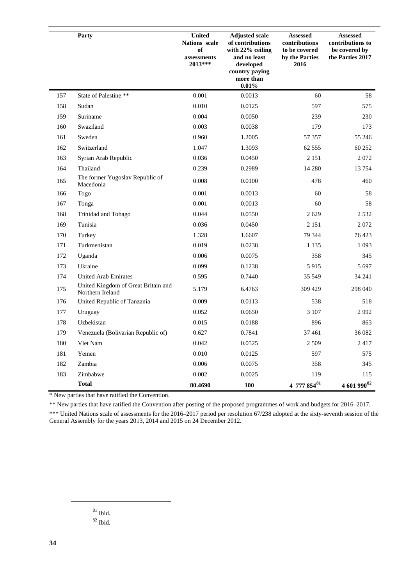|     | Party                                                   | <b>United</b><br>Nations scale<br>of<br>assessments<br>2013*** | <b>Adjusted scale</b><br>of contributions<br>with 22% ceiling<br>and no least<br>developed<br>country paying<br>more than<br>0.01% | <b>Assessed</b><br>contributions<br>to be covered<br>by the Parties<br>2016 | <b>Assessed</b><br>contributions to<br>be covered by<br>the Parties 2017 |
|-----|---------------------------------------------------------|----------------------------------------------------------------|------------------------------------------------------------------------------------------------------------------------------------|-----------------------------------------------------------------------------|--------------------------------------------------------------------------|
| 157 | State of Palestine **                                   | 0.001                                                          | 0.0013                                                                                                                             | 60                                                                          | 58                                                                       |
| 158 | Sudan                                                   | 0.010                                                          | 0.0125                                                                                                                             | 597                                                                         | 575                                                                      |
| 159 | Suriname                                                | 0.004                                                          | 0.0050                                                                                                                             | 239                                                                         | 230                                                                      |
| 160 | Swaziland                                               | 0.003                                                          | 0.0038                                                                                                                             | 179                                                                         | 173                                                                      |
| 161 | Sweden                                                  | 0.960                                                          | 1.2005                                                                                                                             | 57 357                                                                      | 55 24 6                                                                  |
| 162 | Switzerland                                             | 1.047                                                          | 1.3093                                                                                                                             | 62 5 55                                                                     | 60 252                                                                   |
| 163 | Syrian Arab Republic                                    | 0.036                                                          | 0.0450                                                                                                                             | 2 1 5 1                                                                     | 2072                                                                     |
| 164 | Thailand                                                | 0.239                                                          | 0.2989                                                                                                                             | 14 280                                                                      | 13754                                                                    |
| 165 | The former Yugoslav Republic of<br>Macedonia            | 0.008                                                          | 0.0100                                                                                                                             | 478                                                                         | 460                                                                      |
| 166 | Togo                                                    | 0.001                                                          | 0.0013                                                                                                                             | 60                                                                          | 58                                                                       |
| 167 | Tonga                                                   | 0.001                                                          | 0.0013                                                                                                                             | 60                                                                          | 58                                                                       |
| 168 | Trinidad and Tobago                                     | 0.044                                                          | 0.0550                                                                                                                             | 2629                                                                        | 2 5 3 2                                                                  |
| 169 | Tunisia                                                 | 0.036                                                          | 0.0450                                                                                                                             | 2 1 5 1                                                                     | 2072                                                                     |
| 170 | Turkey                                                  | 1.328                                                          | 1.6607                                                                                                                             | 79 344                                                                      | 76 423                                                                   |
| 171 | Turkmenistan                                            | 0.019                                                          | 0.0238                                                                                                                             | 1 1 3 5                                                                     | 1 0 9 3                                                                  |
| 172 | Uganda                                                  | 0.006                                                          | 0.0075                                                                                                                             | 358                                                                         | 345                                                                      |
| 173 | Ukraine                                                 | 0.099                                                          | 0.1238                                                                                                                             | 5915                                                                        | 5 6 9 7                                                                  |
| 174 | <b>United Arab Emirates</b>                             | 0.595                                                          | 0.7440                                                                                                                             | 35 549                                                                      | 34 241                                                                   |
| 175 | United Kingdom of Great Britain and<br>Northern Ireland | 5.179                                                          | 6.4763                                                                                                                             | 309 429                                                                     | 298 040                                                                  |
| 176 | United Republic of Tanzania                             | 0.009                                                          | 0.0113                                                                                                                             | 538                                                                         | 518                                                                      |
| 177 | Uruguay                                                 | 0.052                                                          | 0.0650                                                                                                                             | 3 107                                                                       | 2992                                                                     |
| 178 | Uzbekistan                                              | 0.015                                                          | 0.0188                                                                                                                             | 896                                                                         | 863                                                                      |
| 179 | Venezuela (Bolivarian Republic of)                      | 0.627                                                          | 0.7841                                                                                                                             | 37 4 61                                                                     | 36 082                                                                   |
| 180 | Viet Nam                                                | 0.042                                                          | 0.0525                                                                                                                             | 2 5 0 9                                                                     | 2417                                                                     |
| 181 | Yemen                                                   | 0.010                                                          | 0.0125                                                                                                                             | 597                                                                         | 575                                                                      |
| 182 | Zambia                                                  | 0.006                                                          | 0.0075                                                                                                                             | 358                                                                         | 345                                                                      |
| 183 | Zimbabwe                                                | 0.002                                                          | 0.0025                                                                                                                             | 119                                                                         | 115                                                                      |
|     | <b>Total</b>                                            | 80.4690                                                        | 100                                                                                                                                | 4 777 $854^{81}$                                                            | 4 601 990 82                                                             |

\* New parties that have ratified the Convention.

\*\* New parties that have ratified the Convention after posting of the proposed programmes of work and budgets for 2016–2017.

\*\*\* United Nations scale of assessments for the 2016–2017 period per resolution 67/238 adopted at the sixty-seventh session of the General Assembly for the years 2013, 2014 and 2015 on 24 December 2012.

- $^{81}$  Ibid.
- $82$  Ibid.

<span id="page-33-1"></span><span id="page-33-0"></span> $\overline{a}$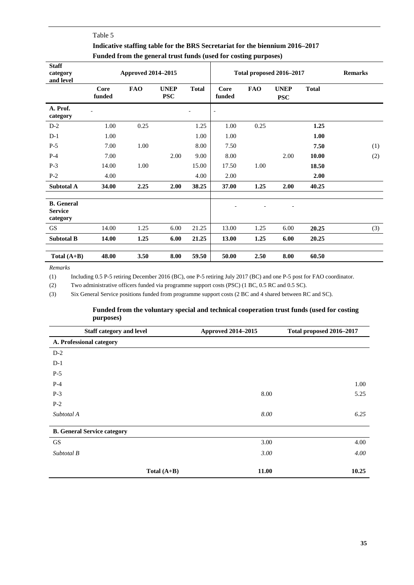## Table 5 **Indicative staffing table for the BRS Secretariat for the biennium 2016–2017 Funded from the general trust funds (used for costing purposes)**

| <b>Staff</b><br>category<br>and level           | <b>Approved 2014–2015</b> |            |                           |              | Total proposed 2016-2017 |            |                           |              | <b>Remarks</b> |
|-------------------------------------------------|---------------------------|------------|---------------------------|--------------|--------------------------|------------|---------------------------|--------------|----------------|
|                                                 | Core<br>funded            | <b>FAO</b> | <b>UNEP</b><br><b>PSC</b> | <b>Total</b> | Core<br>funded           | <b>FAO</b> | <b>UNEP</b><br><b>PSC</b> | <b>Total</b> |                |
| A. Prof.<br>category                            |                           |            |                           |              | $\blacksquare$           |            |                           |              |                |
| $D-2$                                           | 1.00                      | 0.25       |                           | 1.25         | 1.00                     | 0.25       |                           | 1.25         |                |
| $D-1$                                           | 1.00                      |            |                           | 1.00         | 1.00                     |            |                           | 1.00         |                |
| $P-5$                                           | 7.00                      | 1.00       |                           | 8.00         | 7.50                     |            |                           | 7.50         | (1)            |
| $P-4$                                           | 7.00                      |            | 2.00                      | 9.00         | 8.00                     |            | 2.00                      | 10.00        | (2)            |
| $P-3$                                           | 14.00                     | 1.00       |                           | 15.00        | 17.50                    | 1.00       |                           | 18.50        |                |
| $P-2$                                           | 4.00                      |            |                           | 4.00         | 2.00                     |            |                           | 2.00         |                |
| <b>Subtotal A</b>                               | 34.00                     | 2.25       | 2.00                      | 38.25        | 37.00                    | 1.25       | 2.00                      | 40.25        |                |
| <b>B.</b> General<br><b>Service</b><br>category |                           |            |                           |              |                          |            |                           |              |                |
| <b>GS</b>                                       | 14.00                     | 1.25       | 6.00                      | 21.25        | 13.00                    | 1.25       | 6.00                      | 20.25        | (3)            |
| <b>Subtotal B</b>                               | 14.00                     | 1.25       | 6.00                      | 21.25        | 13.00                    | 1.25       | 6.00                      | 20.25        |                |
| Total $(A+B)$                                   | 48.00                     | 3.50       | 8.00                      | 59.50        | 50.00                    | 2.50       | 8.00                      | 60.50        |                |

*Remarks*

(1) Including 0.5 P-5 retiring December 2016 (BC), one P-5 retiring July 2017 (BC) and one P-5 post for FAO coordinator.

(2) Two administrative officers funded via programme support costs (PSC) (1 BC, 0.5 RC and 0.5 SC).

(3) Six General Service positions funded from programme support costs (2 BC and 4 shared between RC and SC).

#### **Funded from the voluntary special and technical cooperation trust funds (used for costing purposes)**

| <b>Staff category and level</b>    |               | <b>Approved 2014-2015</b> | Total proposed 2016-2017 |  |
|------------------------------------|---------------|---------------------------|--------------------------|--|
| A. Professional category           |               |                           |                          |  |
| $D-2$                              |               |                           |                          |  |
| $D-1$                              |               |                           |                          |  |
| $P-5$                              |               |                           |                          |  |
| $P-4$                              |               |                           | 1.00                     |  |
| $P-3$                              |               | 8.00                      | 5.25                     |  |
| $P-2$                              |               |                           |                          |  |
| Subtotal A                         |               | 8.00                      | 6.25                     |  |
| <b>B. General Service category</b> |               |                           |                          |  |
|                                    |               |                           |                          |  |
| GS                                 |               | 3.00                      | 4.00                     |  |
| Subtotal B                         |               | 3.00                      | 4.00                     |  |
|                                    | Total $(A+B)$ | 11.00                     | 10.25                    |  |